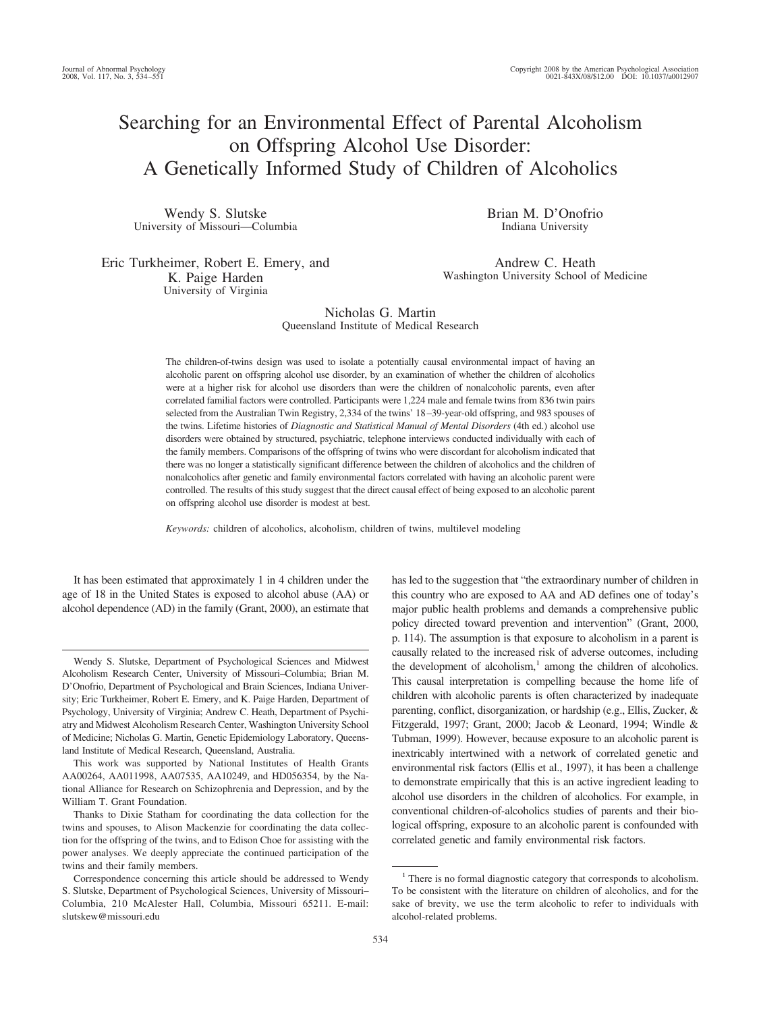# Searching for an Environmental Effect of Parental Alcoholism on Offspring Alcohol Use Disorder: A Genetically Informed Study of Children of Alcoholics

Wendy S. Slutske University of Missouri—Columbia

Brian M. D'Onofrio Indiana University

Eric Turkheimer, Robert E. Emery, and K. Paige Harden University of Virginia

Andrew C. Heath Washington University School of Medicine

Nicholas G. Martin Queensland Institute of Medical Research

The children-of-twins design was used to isolate a potentially causal environmental impact of having an alcoholic parent on offspring alcohol use disorder, by an examination of whether the children of alcoholics were at a higher risk for alcohol use disorders than were the children of nonalcoholic parents, even after correlated familial factors were controlled. Participants were 1,224 male and female twins from 836 twin pairs selected from the Australian Twin Registry, 2,334 of the twins' 18–39-year-old offspring, and 983 spouses of the twins. Lifetime histories of *Diagnostic and Statistical Manual of Mental Disorders* (4th ed.) alcohol use disorders were obtained by structured, psychiatric, telephone interviews conducted individually with each of the family members. Comparisons of the offspring of twins who were discordant for alcoholism indicated that there was no longer a statistically significant difference between the children of alcoholics and the children of nonalcoholics after genetic and family environmental factors correlated with having an alcoholic parent were controlled. The results of this study suggest that the direct causal effect of being exposed to an alcoholic parent on offspring alcohol use disorder is modest at best.

*Keywords:* children of alcoholics, alcoholism, children of twins, multilevel modeling

It has been estimated that approximately 1 in 4 children under the age of 18 in the United States is exposed to alcohol abuse (AA) or alcohol dependence (AD) in the family (Grant, 2000), an estimate that

Wendy S. Slutske, Department of Psychological Sciences and Midwest Alcoholism Research Center, University of Missouri–Columbia; Brian M. D'Onofrio, Department of Psychological and Brain Sciences, Indiana University; Eric Turkheimer, Robert E. Emery, and K. Paige Harden, Department of Psychology, University of Virginia; Andrew C. Heath, Department of Psychiatry and Midwest Alcoholism Research Center, Washington University School of Medicine; Nicholas G. Martin, Genetic Epidemiology Laboratory, Queensland Institute of Medical Research, Queensland, Australia.

This work was supported by National Institutes of Health Grants AA00264, AA011998, AA07535, AA10249, and HD056354, by the National Alliance for Research on Schizophrenia and Depression, and by the William T. Grant Foundation.

Thanks to Dixie Statham for coordinating the data collection for the twins and spouses, to Alison Mackenzie for coordinating the data collection for the offspring of the twins, and to Edison Choe for assisting with the power analyses. We deeply appreciate the continued participation of the twins and their family members.

has led to the suggestion that "the extraordinary number of children in this country who are exposed to AA and AD defines one of today's major public health problems and demands a comprehensive public policy directed toward prevention and intervention" (Grant, 2000, p. 114). The assumption is that exposure to alcoholism in a parent is causally related to the increased risk of adverse outcomes, including the development of alcoholism, $<sup>1</sup>$  among the children of alcoholics.</sup> This causal interpretation is compelling because the home life of children with alcoholic parents is often characterized by inadequate parenting, conflict, disorganization, or hardship (e.g., Ellis, Zucker, & Fitzgerald, 1997; Grant, 2000; Jacob & Leonard, 1994; Windle & Tubman, 1999). However, because exposure to an alcoholic parent is inextricably intertwined with a network of correlated genetic and environmental risk factors (Ellis et al., 1997), it has been a challenge to demonstrate empirically that this is an active ingredient leading to alcohol use disorders in the children of alcoholics. For example, in conventional children-of-alcoholics studies of parents and their biological offspring, exposure to an alcoholic parent is confounded with correlated genetic and family environmental risk factors.

Correspondence concerning this article should be addressed to Wendy S. Slutske, Department of Psychological Sciences, University of Missouri– Columbia, 210 McAlester Hall, Columbia, Missouri 65211. E-mail: slutskew@missouri.edu

<sup>&</sup>lt;sup>1</sup> There is no formal diagnostic category that corresponds to alcoholism. To be consistent with the literature on children of alcoholics, and for the sake of brevity, we use the term alcoholic to refer to individuals with alcohol-related problems.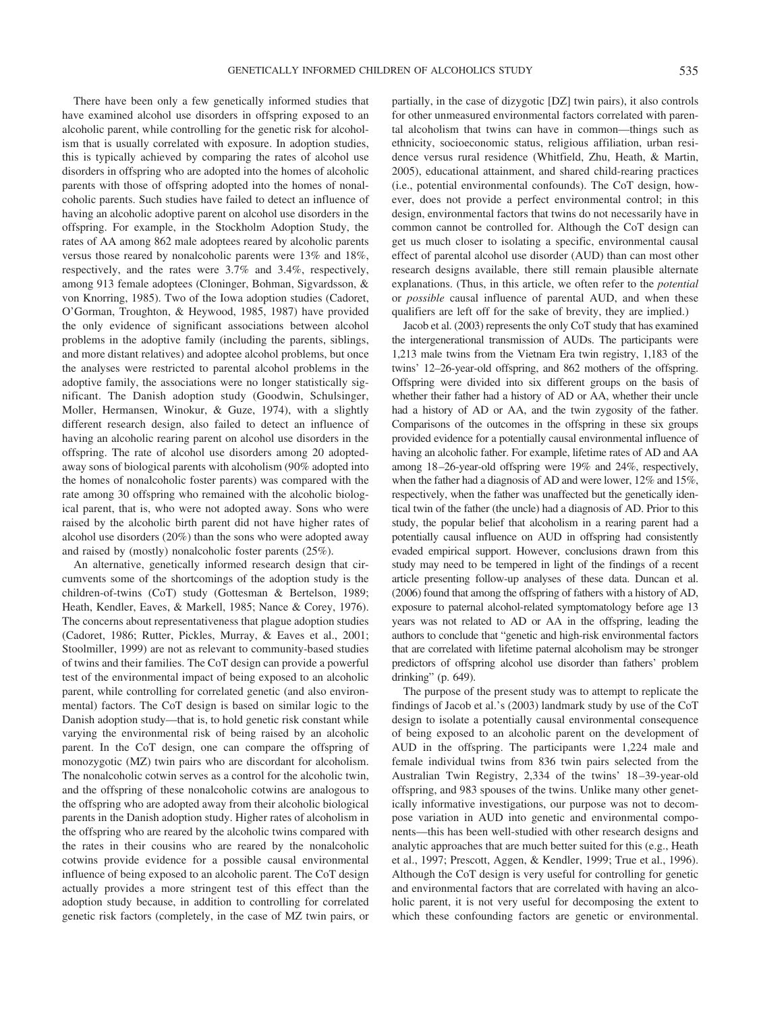There have been only a few genetically informed studies that have examined alcohol use disorders in offspring exposed to an alcoholic parent, while controlling for the genetic risk for alcoholism that is usually correlated with exposure. In adoption studies, this is typically achieved by comparing the rates of alcohol use disorders in offspring who are adopted into the homes of alcoholic parents with those of offspring adopted into the homes of nonalcoholic parents. Such studies have failed to detect an influence of having an alcoholic adoptive parent on alcohol use disorders in the offspring. For example, in the Stockholm Adoption Study, the rates of AA among 862 male adoptees reared by alcoholic parents versus those reared by nonalcoholic parents were 13% and 18%, respectively, and the rates were 3.7% and 3.4%, respectively, among 913 female adoptees (Cloninger, Bohman, Sigvardsson, & von Knorring, 1985). Two of the Iowa adoption studies (Cadoret, O'Gorman, Troughton, & Heywood, 1985, 1987) have provided the only evidence of significant associations between alcohol problems in the adoptive family (including the parents, siblings, and more distant relatives) and adoptee alcohol problems, but once the analyses were restricted to parental alcohol problems in the adoptive family, the associations were no longer statistically significant. The Danish adoption study (Goodwin, Schulsinger, Moller, Hermansen, Winokur, & Guze, 1974), with a slightly different research design, also failed to detect an influence of having an alcoholic rearing parent on alcohol use disorders in the offspring. The rate of alcohol use disorders among 20 adoptedaway sons of biological parents with alcoholism (90% adopted into the homes of nonalcoholic foster parents) was compared with the rate among 30 offspring who remained with the alcoholic biological parent, that is, who were not adopted away. Sons who were raised by the alcoholic birth parent did not have higher rates of alcohol use disorders (20%) than the sons who were adopted away and raised by (mostly) nonalcoholic foster parents (25%).

An alternative, genetically informed research design that circumvents some of the shortcomings of the adoption study is the children-of-twins (CoT) study (Gottesman & Bertelson, 1989; Heath, Kendler, Eaves, & Markell, 1985; Nance & Corey, 1976). The concerns about representativeness that plague adoption studies (Cadoret, 1986; Rutter, Pickles, Murray, & Eaves et al., 2001; Stoolmiller, 1999) are not as relevant to community-based studies of twins and their families. The CoT design can provide a powerful test of the environmental impact of being exposed to an alcoholic parent, while controlling for correlated genetic (and also environmental) factors. The CoT design is based on similar logic to the Danish adoption study—that is, to hold genetic risk constant while varying the environmental risk of being raised by an alcoholic parent. In the CoT design, one can compare the offspring of monozygotic (MZ) twin pairs who are discordant for alcoholism. The nonalcoholic cotwin serves as a control for the alcoholic twin, and the offspring of these nonalcoholic cotwins are analogous to the offspring who are adopted away from their alcoholic biological parents in the Danish adoption study. Higher rates of alcoholism in the offspring who are reared by the alcoholic twins compared with the rates in their cousins who are reared by the nonalcoholic cotwins provide evidence for a possible causal environmental influence of being exposed to an alcoholic parent. The CoT design actually provides a more stringent test of this effect than the adoption study because, in addition to controlling for correlated genetic risk factors (completely, in the case of MZ twin pairs, or

partially, in the case of dizygotic [DZ] twin pairs), it also controls for other unmeasured environmental factors correlated with parental alcoholism that twins can have in common—things such as ethnicity, socioeconomic status, religious affiliation, urban residence versus rural residence (Whitfield, Zhu, Heath, & Martin, 2005), educational attainment, and shared child-rearing practices (i.e., potential environmental confounds). The CoT design, however, does not provide a perfect environmental control; in this design, environmental factors that twins do not necessarily have in common cannot be controlled for. Although the CoT design can get us much closer to isolating a specific, environmental causal effect of parental alcohol use disorder (AUD) than can most other research designs available, there still remain plausible alternate explanations. (Thus, in this article, we often refer to the *potential* or *possible* causal influence of parental AUD, and when these qualifiers are left off for the sake of brevity, they are implied.)

Jacob et al. (2003) represents the only CoT study that has examined the intergenerational transmission of AUDs. The participants were 1,213 male twins from the Vietnam Era twin registry, 1,183 of the twins' 12–26-year-old offspring, and 862 mothers of the offspring. Offspring were divided into six different groups on the basis of whether their father had a history of AD or AA, whether their uncle had a history of AD or AA, and the twin zygosity of the father. Comparisons of the outcomes in the offspring in these six groups provided evidence for a potentially causal environmental influence of having an alcoholic father. For example, lifetime rates of AD and AA among 18–26-year-old offspring were 19% and 24%, respectively, when the father had a diagnosis of AD and were lower, 12% and 15%, respectively, when the father was unaffected but the genetically identical twin of the father (the uncle) had a diagnosis of AD. Prior to this study, the popular belief that alcoholism in a rearing parent had a potentially causal influence on AUD in offspring had consistently evaded empirical support. However, conclusions drawn from this study may need to be tempered in light of the findings of a recent article presenting follow-up analyses of these data. Duncan et al. (2006) found that among the offspring of fathers with a history of AD, exposure to paternal alcohol-related symptomatology before age 13 years was not related to AD or AA in the offspring, leading the authors to conclude that "genetic and high-risk environmental factors that are correlated with lifetime paternal alcoholism may be stronger predictors of offspring alcohol use disorder than fathers' problem drinking" (p. 649).

The purpose of the present study was to attempt to replicate the findings of Jacob et al.'s (2003) landmark study by use of the CoT design to isolate a potentially causal environmental consequence of being exposed to an alcoholic parent on the development of AUD in the offspring. The participants were 1,224 male and female individual twins from 836 twin pairs selected from the Australian Twin Registry, 2,334 of the twins' 18–39-year-old offspring, and 983 spouses of the twins. Unlike many other genetically informative investigations, our purpose was not to decompose variation in AUD into genetic and environmental components—this has been well-studied with other research designs and analytic approaches that are much better suited for this (e.g., Heath et al., 1997; Prescott, Aggen, & Kendler, 1999; True et al., 1996). Although the CoT design is very useful for controlling for genetic and environmental factors that are correlated with having an alcoholic parent, it is not very useful for decomposing the extent to which these confounding factors are genetic or environmental.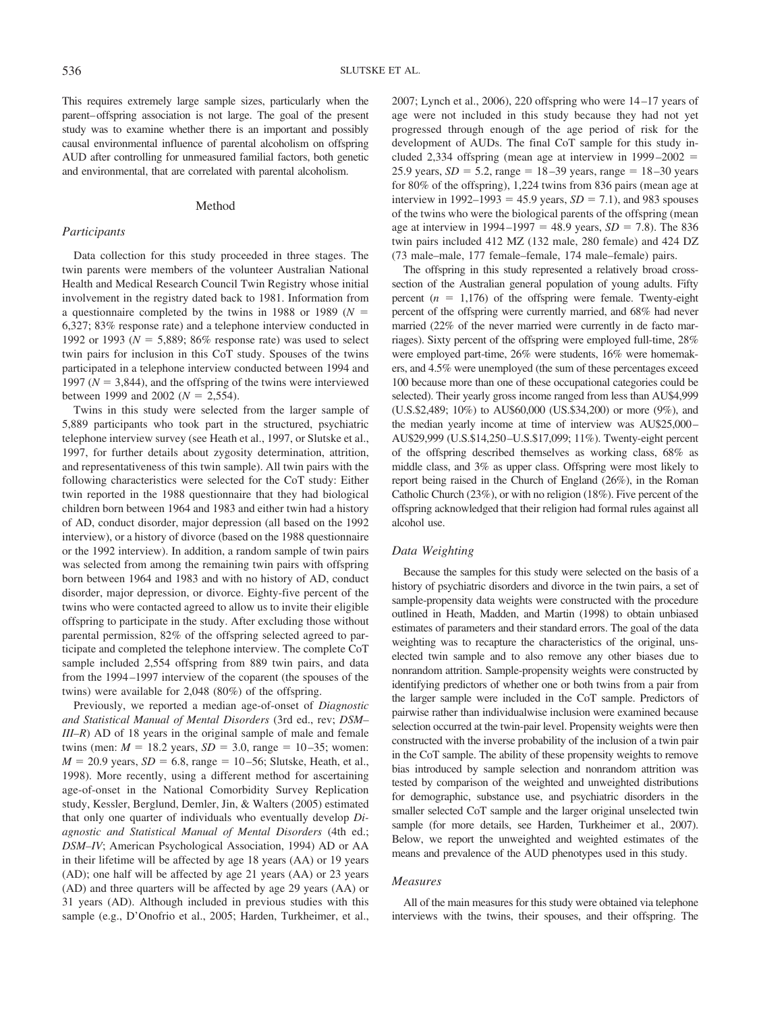This requires extremely large sample sizes, particularly when the parent–offspring association is not large. The goal of the present study was to examine whether there is an important and possibly causal environmental influence of parental alcoholism on offspring AUD after controlling for unmeasured familial factors, both genetic and environmental, that are correlated with parental alcoholism.

#### Method

## *Participants*

Data collection for this study proceeded in three stages. The twin parents were members of the volunteer Australian National Health and Medical Research Council Twin Registry whose initial involvement in the registry dated back to 1981. Information from a questionnaire completed by the twins in 1988 or 1989 ( $N =$ 6,327; 83% response rate) and a telephone interview conducted in 1992 or 1993 ( $N = 5,889$ ; 86% response rate) was used to select twin pairs for inclusion in this CoT study. Spouses of the twins participated in a telephone interview conducted between 1994 and 1997 ( $N = 3,844$ ), and the offspring of the twins were interviewed between 1999 and 2002 ( $N = 2,554$ ).

Twins in this study were selected from the larger sample of 5,889 participants who took part in the structured, psychiatric telephone interview survey (see Heath et al., 1997, or Slutske et al., 1997, for further details about zygosity determination, attrition, and representativeness of this twin sample). All twin pairs with the following characteristics were selected for the CoT study: Either twin reported in the 1988 questionnaire that they had biological children born between 1964 and 1983 and either twin had a history of AD, conduct disorder, major depression (all based on the 1992 interview), or a history of divorce (based on the 1988 questionnaire or the 1992 interview). In addition, a random sample of twin pairs was selected from among the remaining twin pairs with offspring born between 1964 and 1983 and with no history of AD, conduct disorder, major depression, or divorce. Eighty-five percent of the twins who were contacted agreed to allow us to invite their eligible offspring to participate in the study. After excluding those without parental permission, 82% of the offspring selected agreed to participate and completed the telephone interview. The complete CoT sample included 2,554 offspring from 889 twin pairs, and data from the 1994–1997 interview of the coparent (the spouses of the twins) were available for 2,048 (80%) of the offspring.

Previously, we reported a median age-of-onset of *Diagnostic and Statistical Manual of Mental Disorders* (3rd ed., rev; *DSM– III–R*) AD of 18 years in the original sample of male and female twins (men:  $M = 18.2$  years,  $SD = 3.0$ , range  $= 10-35$ ; women:  $M = 20.9$  years,  $SD = 6.8$ , range = 10–56; Slutske, Heath, et al., 1998). More recently, using a different method for ascertaining age-of-onset in the National Comorbidity Survey Replication study, Kessler, Berglund, Demler, Jin, & Walters (2005) estimated that only one quarter of individuals who eventually develop *Diagnostic and Statistical Manual of Mental Disorders* (4th ed.; *DSM–IV*; American Psychological Association, 1994) AD or AA in their lifetime will be affected by age 18 years (AA) or 19 years (AD); one half will be affected by age 21 years (AA) or 23 years (AD) and three quarters will be affected by age 29 years (AA) or 31 years (AD). Although included in previous studies with this sample (e.g., D'Onofrio et al., 2005; Harden, Turkheimer, et al., 2007; Lynch et al., 2006), 220 offspring who were 14–17 years of age were not included in this study because they had not yet progressed through enough of the age period of risk for the development of AUDs. The final CoT sample for this study included 2,334 offspring (mean age at interview in  $1999-2002$  = 25.9 years,  $SD = 5.2$ , range  $= 18-39$  years, range  $= 18-30$  years for 80% of the offspring), 1,224 twins from 836 pairs (mean age at interview in 1992–1993  $= 45.9$  years, *SD*  $= 7.1$ ), and 983 spouses of the twins who were the biological parents of the offspring (mean age at interview in 1994–1997  $=$  48.9 years, *SD*  $=$  7.8). The 836 twin pairs included 412 MZ (132 male, 280 female) and 424 DZ (73 male–male, 177 female–female, 174 male–female) pairs.

The offspring in this study represented a relatively broad crosssection of the Australian general population of young adults. Fifty percent  $(n = 1,176)$  of the offspring were female. Twenty-eight percent of the offspring were currently married, and 68% had never married (22% of the never married were currently in de facto marriages). Sixty percent of the offspring were employed full-time, 28% were employed part-time, 26% were students, 16% were homemakers, and 4.5% were unemployed (the sum of these percentages exceed 100 because more than one of these occupational categories could be selected). Their yearly gross income ranged from less than AU\$4,999 (U.S.\$2,489; 10%) to AU\$60,000 (US.\$34,200) or more (9%), and the median yearly income at time of interview was AU\$25,000– AU\$29,999 (U.S.\$14,250–U.S.\$17,099; 11%). Twenty-eight percent of the offspring described themselves as working class, 68% as middle class, and 3% as upper class. Offspring were most likely to report being raised in the Church of England (26%), in the Roman Catholic Church (23%), or with no religion (18%). Five percent of the offspring acknowledged that their religion had formal rules against all alcohol use.

## *Data Weighting*

Because the samples for this study were selected on the basis of a history of psychiatric disorders and divorce in the twin pairs, a set of sample-propensity data weights were constructed with the procedure outlined in Heath, Madden, and Martin (1998) to obtain unbiased estimates of parameters and their standard errors. The goal of the data weighting was to recapture the characteristics of the original, unselected twin sample and to also remove any other biases due to nonrandom attrition. Sample-propensity weights were constructed by identifying predictors of whether one or both twins from a pair from the larger sample were included in the CoT sample. Predictors of pairwise rather than individualwise inclusion were examined because selection occurred at the twin-pair level. Propensity weights were then constructed with the inverse probability of the inclusion of a twin pair in the CoT sample. The ability of these propensity weights to remove bias introduced by sample selection and nonrandom attrition was tested by comparison of the weighted and unweighted distributions for demographic, substance use, and psychiatric disorders in the smaller selected CoT sample and the larger original unselected twin sample (for more details, see Harden, Turkheimer et al., 2007). Below, we report the unweighted and weighted estimates of the means and prevalence of the AUD phenotypes used in this study.

#### *Measures*

All of the main measures for this study were obtained via telephone interviews with the twins, their spouses, and their offspring. The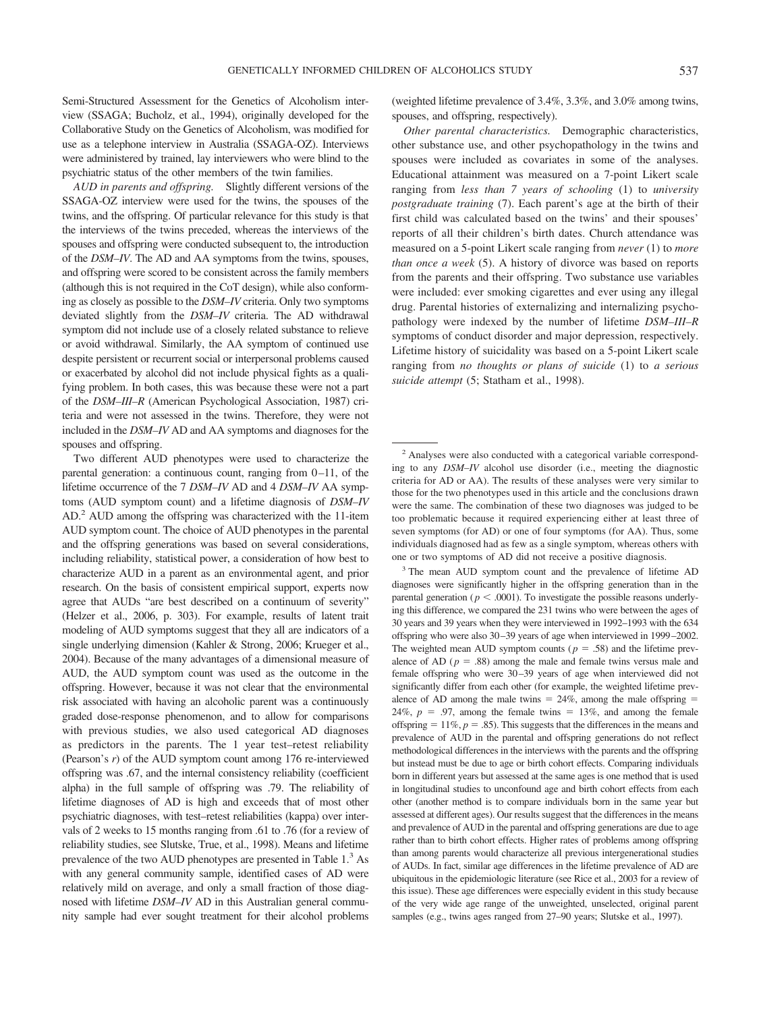Semi-Structured Assessment for the Genetics of Alcoholism interview (SSAGA; Bucholz, et al., 1994), originally developed for the Collaborative Study on the Genetics of Alcoholism, was modified for use as a telephone interview in Australia (SSAGA-OZ). Interviews were administered by trained, lay interviewers who were blind to the psychiatric status of the other members of the twin families.

*AUD in parents and offspring.* Slightly different versions of the SSAGA-OZ interview were used for the twins, the spouses of the twins, and the offspring. Of particular relevance for this study is that the interviews of the twins preceded, whereas the interviews of the spouses and offspring were conducted subsequent to, the introduction of the *DSM–IV*. The AD and AA symptoms from the twins, spouses, and offspring were scored to be consistent across the family members (although this is not required in the CoT design), while also conforming as closely as possible to the *DSM–IV* criteria. Only two symptoms deviated slightly from the *DSM–IV* criteria. The AD withdrawal symptom did not include use of a closely related substance to relieve or avoid withdrawal. Similarly, the AA symptom of continued use despite persistent or recurrent social or interpersonal problems caused or exacerbated by alcohol did not include physical fights as a qualifying problem. In both cases, this was because these were not a part of the *DSM–III–R* (American Psychological Association, 1987) criteria and were not assessed in the twins. Therefore, they were not included in the *DSM–IV* AD and AA symptoms and diagnoses for the spouses and offspring.

Two different AUD phenotypes were used to characterize the parental generation: a continuous count, ranging from 0–11, of the lifetime occurrence of the 7 *DSM–IV* AD and 4 *DSM–IV* AA symptoms (AUD symptom count) and a lifetime diagnosis of *DSM–IV* AD.<sup>2</sup> AUD among the offspring was characterized with the 11-item AUD symptom count. The choice of AUD phenotypes in the parental and the offspring generations was based on several considerations, including reliability, statistical power, a consideration of how best to characterize AUD in a parent as an environmental agent, and prior research. On the basis of consistent empirical support, experts now agree that AUDs "are best described on a continuum of severity" (Helzer et al., 2006, p. 303). For example, results of latent trait modeling of AUD symptoms suggest that they all are indicators of a single underlying dimension (Kahler & Strong, 2006; Krueger et al., 2004). Because of the many advantages of a dimensional measure of AUD, the AUD symptom count was used as the outcome in the offspring. However, because it was not clear that the environmental risk associated with having an alcoholic parent was a continuously graded dose-response phenomenon, and to allow for comparisons with previous studies, we also used categorical AD diagnoses as predictors in the parents. The 1 year test–retest reliability (Pearson's *r*) of the AUD symptom count among 176 re-interviewed offspring was .67, and the internal consistency reliability (coefficient alpha) in the full sample of offspring was .79. The reliability of lifetime diagnoses of AD is high and exceeds that of most other psychiatric diagnoses, with test–retest reliabilities (kappa) over intervals of 2 weeks to 15 months ranging from .61 to .76 (for a review of reliability studies, see Slutske, True, et al., 1998). Means and lifetime prevalence of the two AUD phenotypes are presented in Table 1.3 As with any general community sample, identified cases of AD were relatively mild on average, and only a small fraction of those diagnosed with lifetime *DSM–IV* AD in this Australian general community sample had ever sought treatment for their alcohol problems

(weighted lifetime prevalence of 3.4%, 3.3%, and 3.0% among twins, spouses, and offspring, respectively).

*Other parental characteristics.* Demographic characteristics, other substance use, and other psychopathology in the twins and spouses were included as covariates in some of the analyses. Educational attainment was measured on a 7-point Likert scale ranging from *less than 7 years of schooling* (1) to *university postgraduate training* (7). Each parent's age at the birth of their first child was calculated based on the twins' and their spouses' reports of all their children's birth dates. Church attendance was measured on a 5-point Likert scale ranging from *never* (1) to *more than once a week* (5). A history of divorce was based on reports from the parents and their offspring. Two substance use variables were included: ever smoking cigarettes and ever using any illegal drug. Parental histories of externalizing and internalizing psychopathology were indexed by the number of lifetime *DSM–III–R* symptoms of conduct disorder and major depression, respectively. Lifetime history of suicidality was based on a 5-point Likert scale ranging from *no thoughts or plans of suicide* (1) to *a serious suicide attempt* (5; Statham et al., 1998).

<sup>2</sup> Analyses were also conducted with a categorical variable corresponding to any *DSM–IV* alcohol use disorder (i.e., meeting the diagnostic criteria for AD or AA). The results of these analyses were very similar to those for the two phenotypes used in this article and the conclusions drawn were the same. The combination of these two diagnoses was judged to be too problematic because it required experiencing either at least three of seven symptoms (for AD) or one of four symptoms (for AA). Thus, some individuals diagnosed had as few as a single symptom, whereas others with one or two symptoms of AD did not receive a positive diagnosis.

<sup>3</sup> The mean AUD symptom count and the prevalence of lifetime AD diagnoses were significantly higher in the offspring generation than in the parental generation ( $p < .0001$ ). To investigate the possible reasons underlying this difference, we compared the 231 twins who were between the ages of 30 years and 39 years when they were interviewed in 1992–1993 with the 634 offspring who were also 30–39 years of age when interviewed in 1999–2002. The weighted mean AUD symptom counts ( $p = .58$ ) and the lifetime prevalence of AD ( $p = .88$ ) among the male and female twins versus male and female offspring who were 30–39 years of age when interviewed did not significantly differ from each other (for example, the weighted lifetime prevalence of AD among the male twins  $= 24\%$ , among the male offspring  $=$ 24%,  $p = .97$ , among the female twins  $= 13\%$ , and among the female offspring  $= 11\%, p = .85$ ). This suggests that the differences in the means and prevalence of AUD in the parental and offspring generations do not reflect methodological differences in the interviews with the parents and the offspring but instead must be due to age or birth cohort effects. Comparing individuals born in different years but assessed at the same ages is one method that is used in longitudinal studies to unconfound age and birth cohort effects from each other (another method is to compare individuals born in the same year but assessed at different ages). Our results suggest that the differences in the means and prevalence of AUD in the parental and offspring generations are due to age rather than to birth cohort effects. Higher rates of problems among offspring than among parents would characterize all previous intergenerational studies of AUDs. In fact, similar age differences in the lifetime prevalence of AD are ubiquitous in the epidemiologic literature (see Rice et al., 2003 for a review of this issue). These age differences were especially evident in this study because of the very wide age range of the unweighted, unselected, original parent samples (e.g., twins ages ranged from 27–90 years; Slutske et al., 1997).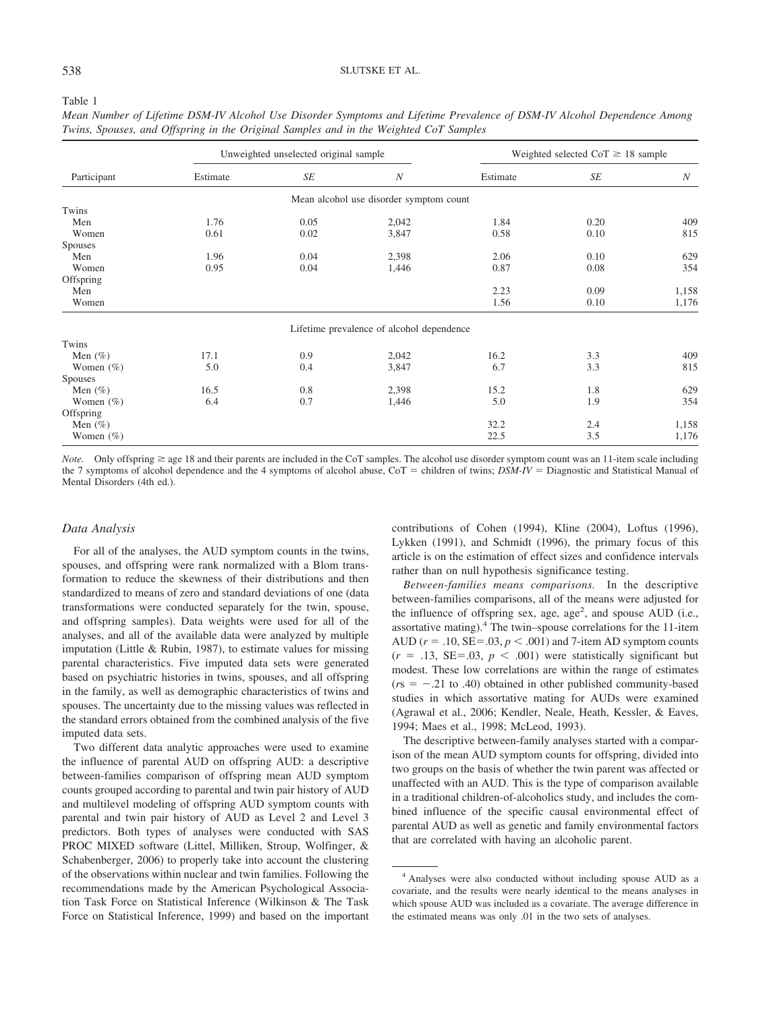| ×<br>٠<br>۰, |  |
|--------------|--|
|              |  |

*Mean Number of Lifetime DSM-IV Alcohol Use Disorder Symptoms and Lifetime Prevalence of DSM-IV Alcohol Dependence Among Twins, Spouses, and Offspring in the Original Samples and in the Weighted CoT Samples*

|                |          | Unweighted unselected original sample |                                           | Weighted selected CoT $\geq$ 18 sample |      |       |
|----------------|----------|---------------------------------------|-------------------------------------------|----------------------------------------|------|-------|
| Participant    | Estimate | SE                                    | $\boldsymbol{N}$                          | Estimate                               | SE   | N     |
|                |          |                                       | Mean alcohol use disorder symptom count   |                                        |      |       |
| Twins          |          |                                       |                                           |                                        |      |       |
| Men            | 1.76     | 0.05                                  | 2,042                                     | 1.84                                   | 0.20 | 409   |
| Women          | 0.61     | 0.02                                  | 3,847                                     | 0.58                                   | 0.10 | 815   |
| <b>Spouses</b> |          |                                       |                                           |                                        |      |       |
| Men            | 1.96     | 0.04                                  | 2,398                                     | 2.06                                   | 0.10 | 629   |
| Women          | 0.95     | 0.04                                  | 1,446                                     | 0.87                                   | 0.08 | 354   |
| Offspring      |          |                                       |                                           |                                        |      |       |
| Men            |          |                                       |                                           | 2.23                                   | 0.09 | 1,158 |
| Women          |          |                                       |                                           | 1.56                                   | 0.10 | 1,176 |
|                |          |                                       | Lifetime prevalence of alcohol dependence |                                        |      |       |
| Twins          |          |                                       |                                           |                                        |      |       |
| Men $(\% )$    | 17.1     | 0.9                                   | 2,042                                     | 16.2                                   | 3.3  | 409   |
| Women $(\% )$  | 5.0      | 0.4                                   | 3,847                                     | 6.7                                    | 3.3  | 815   |
| <b>Spouses</b> |          |                                       |                                           |                                        |      |       |
| Men $(\% )$    | 16.5     | 0.8                                   | 2,398                                     | 15.2                                   | 1.8  | 629   |
| Women $(\% )$  | 6.4      | 0.7                                   | 1,446                                     | 5.0                                    | 1.9  | 354   |
| Offspring      |          |                                       |                                           |                                        |      |       |
| Men $(\% )$    |          |                                       |                                           | 32.2                                   | 2.4  | 1,158 |
| Women $(\% )$  |          |                                       |                                           | 22.5                                   | 3.5  | 1,176 |

*Note.* Only offspring  $\geq$  age 18 and their parents are included in the CoT samples. The alcohol use disorder symptom count was an 11-item scale including the 7 symptoms of alcohol dependence and the 4 symptoms of alcohol abuse, CoT = children of twins; *DSM-IV* = Diagnostic and Statistical Manual of Mental Disorders (4th ed.).

#### *Data Analysis*

For all of the analyses, the AUD symptom counts in the twins, spouses, and offspring were rank normalized with a Blom transformation to reduce the skewness of their distributions and then standardized to means of zero and standard deviations of one (data transformations were conducted separately for the twin, spouse, and offspring samples). Data weights were used for all of the analyses, and all of the available data were analyzed by multiple imputation (Little & Rubin, 1987), to estimate values for missing parental characteristics. Five imputed data sets were generated based on psychiatric histories in twins, spouses, and all offspring in the family, as well as demographic characteristics of twins and spouses. The uncertainty due to the missing values was reflected in the standard errors obtained from the combined analysis of the five imputed data sets.

Two different data analytic approaches were used to examine the influence of parental AUD on offspring AUD: a descriptive between-families comparison of offspring mean AUD symptom counts grouped according to parental and twin pair history of AUD and multilevel modeling of offspring AUD symptom counts with parental and twin pair history of AUD as Level 2 and Level 3 predictors. Both types of analyses were conducted with SAS PROC MIXED software (Littel, Milliken, Stroup, Wolfinger, & Schabenberger, 2006) to properly take into account the clustering of the observations within nuclear and twin families. Following the recommendations made by the American Psychological Association Task Force on Statistical Inference (Wilkinson & The Task Force on Statistical Inference, 1999) and based on the important contributions of Cohen (1994), Kline (2004), Loftus (1996), Lykken (1991), and Schmidt (1996), the primary focus of this article is on the estimation of effect sizes and confidence intervals rather than on null hypothesis significance testing.

*Between-families means comparisons.* In the descriptive between-families comparisons, all of the means were adjusted for the influence of offspring sex, age, age<sup>2</sup>, and spouse AUD (i.e., assortative mating). $4$  The twin–spouse correlations for the 11-item AUD ( $r = .10$ , SE=.03,  $p < .001$ ) and 7-item AD symptom counts  $(r = .13, SE = .03, p < .001)$  were statistically significant but modest. These low correlations are within the range of estimates  $(rs = -0.21$  to .40) obtained in other published community-based studies in which assortative mating for AUDs were examined (Agrawal et al., 2006; Kendler, Neale, Heath, Kessler, & Eaves, 1994; Maes et al., 1998; McLeod, 1993).

The descriptive between-family analyses started with a comparison of the mean AUD symptom counts for offspring, divided into two groups on the basis of whether the twin parent was affected or unaffected with an AUD. This is the type of comparison available in a traditional children-of-alcoholics study, and includes the combined influence of the specific causal environmental effect of parental AUD as well as genetic and family environmental factors that are correlated with having an alcoholic parent.

<sup>4</sup> Analyses were also conducted without including spouse AUD as a covariate, and the results were nearly identical to the means analyses in which spouse AUD was included as a covariate. The average difference in the estimated means was only .01 in the two sets of analyses.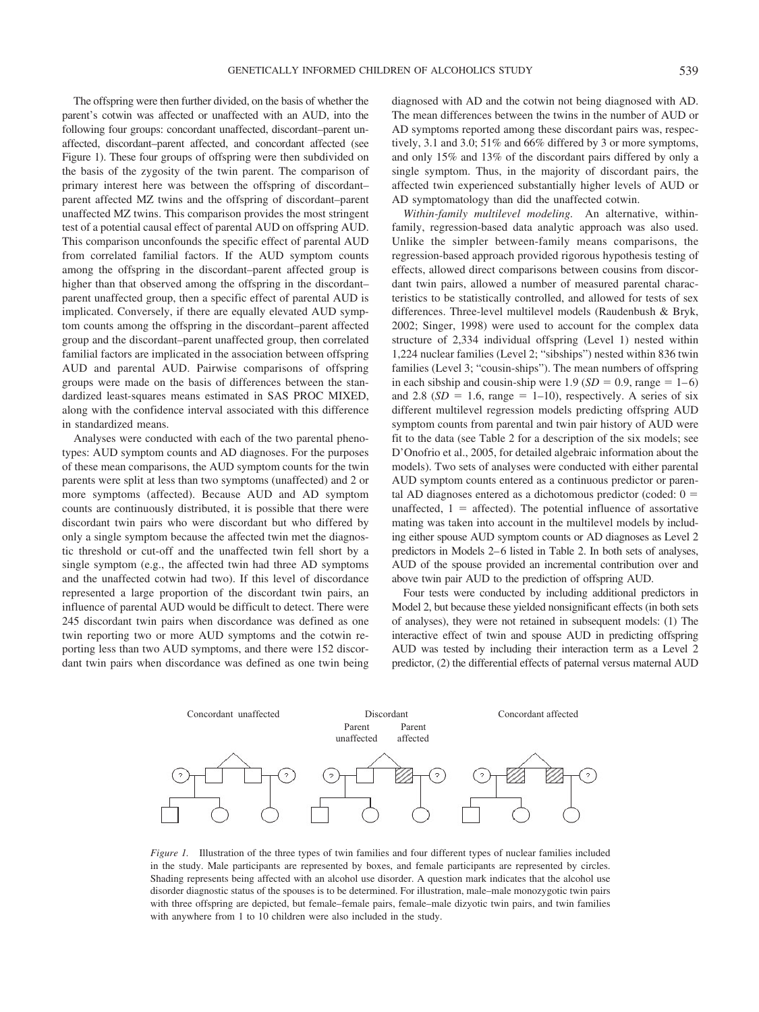The offspring were then further divided, on the basis of whether the parent's cotwin was affected or unaffected with an AUD, into the following four groups: concordant unaffected, discordant–parent unaffected, discordant–parent affected, and concordant affected (see Figure 1). These four groups of offspring were then subdivided on the basis of the zygosity of the twin parent. The comparison of primary interest here was between the offspring of discordant– parent affected MZ twins and the offspring of discordant–parent unaffected MZ twins. This comparison provides the most stringent test of a potential causal effect of parental AUD on offspring AUD. This comparison unconfounds the specific effect of parental AUD from correlated familial factors. If the AUD symptom counts among the offspring in the discordant–parent affected group is higher than that observed among the offspring in the discordant– parent unaffected group, then a specific effect of parental AUD is implicated. Conversely, if there are equally elevated AUD symptom counts among the offspring in the discordant–parent affected group and the discordant–parent unaffected group, then correlated familial factors are implicated in the association between offspring AUD and parental AUD. Pairwise comparisons of offspring groups were made on the basis of differences between the standardized least-squares means estimated in SAS PROC MIXED, along with the confidence interval associated with this difference in standardized means.

Analyses were conducted with each of the two parental phenotypes: AUD symptom counts and AD diagnoses. For the purposes of these mean comparisons, the AUD symptom counts for the twin parents were split at less than two symptoms (unaffected) and 2 or more symptoms (affected). Because AUD and AD symptom counts are continuously distributed, it is possible that there were discordant twin pairs who were discordant but who differed by only a single symptom because the affected twin met the diagnostic threshold or cut-off and the unaffected twin fell short by a single symptom (e.g., the affected twin had three AD symptoms and the unaffected cotwin had two). If this level of discordance represented a large proportion of the discordant twin pairs, an influence of parental AUD would be difficult to detect. There were 245 discordant twin pairs when discordance was defined as one twin reporting two or more AUD symptoms and the cotwin reporting less than two AUD symptoms, and there were 152 discordant twin pairs when discordance was defined as one twin being diagnosed with AD and the cotwin not being diagnosed with AD. The mean differences between the twins in the number of AUD or AD symptoms reported among these discordant pairs was, respectively, 3.1 and 3.0; 51% and 66% differed by 3 or more symptoms, and only 15% and 13% of the discordant pairs differed by only a single symptom. Thus, in the majority of discordant pairs, the affected twin experienced substantially higher levels of AUD or AD symptomatology than did the unaffected cotwin.

*Within-family multilevel modeling.* An alternative, withinfamily, regression-based data analytic approach was also used. Unlike the simpler between-family means comparisons, the regression-based approach provided rigorous hypothesis testing of effects, allowed direct comparisons between cousins from discordant twin pairs, allowed a number of measured parental characteristics to be statistically controlled, and allowed for tests of sex differences. Three-level multilevel models (Raudenbush & Bryk, 2002; Singer, 1998) were used to account for the complex data structure of 2,334 individual offspring (Level 1) nested within 1,224 nuclear families (Level 2; "sibships") nested within 836 twin families (Level 3; "cousin-ships"). The mean numbers of offspring in each sibship and cousin-ship were  $1.9$  (*SD* = 0.9, range = 1–6) and 2.8 ( $SD = 1.6$ , range  $= 1-10$ ), respectively. A series of six different multilevel regression models predicting offspring AUD symptom counts from parental and twin pair history of AUD were fit to the data (see Table 2 for a description of the six models; see D'Onofrio et al., 2005, for detailed algebraic information about the models). Two sets of analyses were conducted with either parental AUD symptom counts entered as a continuous predictor or parental AD diagnoses entered as a dichotomous predictor (coded:  $0 =$ unaffected,  $1 =$  affected). The potential influence of assortative mating was taken into account in the multilevel models by including either spouse AUD symptom counts or AD diagnoses as Level 2 predictors in Models 2–6 listed in Table 2. In both sets of analyses, AUD of the spouse provided an incremental contribution over and above twin pair AUD to the prediction of offspring AUD.

Four tests were conducted by including additional predictors in Model 2, but because these yielded nonsignificant effects (in both sets of analyses), they were not retained in subsequent models: (1) The interactive effect of twin and spouse AUD in predicting offspring AUD was tested by including their interaction term as a Level 2 predictor, (2) the differential effects of paternal versus maternal AUD



*Figure 1.* Illustration of the three types of twin families and four different types of nuclear families included in the study. Male participants are represented by boxes, and female participants are represented by circles. Shading represents being affected with an alcohol use disorder. A question mark indicates that the alcohol use disorder diagnostic status of the spouses is to be determined. For illustration, male–male monozygotic twin pairs with three offspring are depicted, but female–female pairs, female–male dizyotic twin pairs, and twin families with anywhere from 1 to 10 children were also included in the study.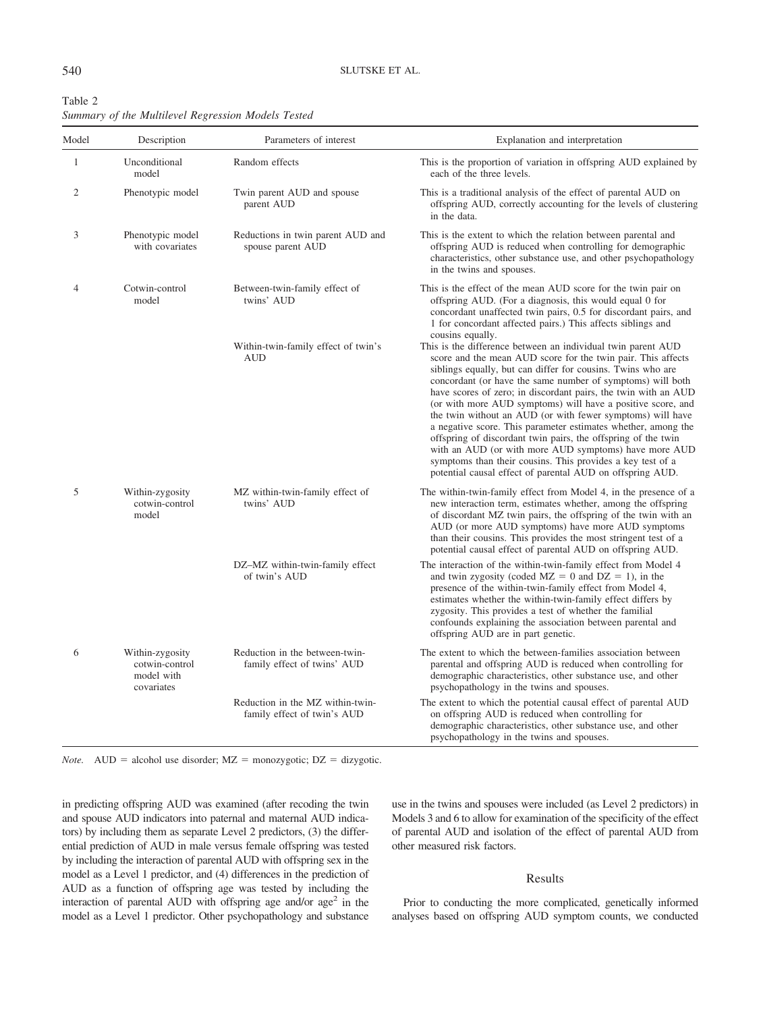| Table 2 |  |                                                    |  |
|---------|--|----------------------------------------------------|--|
|         |  | Summary of the Multilevel Regression Models Tested |  |

| Model | Description                                                   | Parameters of interest                                          | Explanation and interpretation                                                                                                                                                                                                                                                                                                                                                                                                                                                                                                                                                                                                                                                                                                                                                 |
|-------|---------------------------------------------------------------|-----------------------------------------------------------------|--------------------------------------------------------------------------------------------------------------------------------------------------------------------------------------------------------------------------------------------------------------------------------------------------------------------------------------------------------------------------------------------------------------------------------------------------------------------------------------------------------------------------------------------------------------------------------------------------------------------------------------------------------------------------------------------------------------------------------------------------------------------------------|
| 1     | Unconditional<br>model                                        | Random effects                                                  | This is the proportion of variation in offspring AUD explained by<br>each of the three levels.                                                                                                                                                                                                                                                                                                                                                                                                                                                                                                                                                                                                                                                                                 |
| 2     | Phenotypic model                                              | Twin parent AUD and spouse<br>parent AUD                        | This is a traditional analysis of the effect of parental AUD on<br>offspring AUD, correctly accounting for the levels of clustering<br>in the data.                                                                                                                                                                                                                                                                                                                                                                                                                                                                                                                                                                                                                            |
| 3     | Phenotypic model<br>with covariates                           | Reductions in twin parent AUD and<br>spouse parent AUD          | This is the extent to which the relation between parental and<br>offspring AUD is reduced when controlling for demographic<br>characteristics, other substance use, and other psychopathology<br>in the twins and spouses.                                                                                                                                                                                                                                                                                                                                                                                                                                                                                                                                                     |
| 4     | Cotwin-control<br>model                                       | Between-twin-family effect of<br>twins' AUD                     | This is the effect of the mean AUD score for the twin pair on<br>offspring AUD. (For a diagnosis, this would equal 0 for<br>concordant unaffected twin pairs, 0.5 for discordant pairs, and<br>1 for concordant affected pairs.) This affects siblings and<br>cousins equally.                                                                                                                                                                                                                                                                                                                                                                                                                                                                                                 |
|       |                                                               | Within-twin-family effect of twin's<br>AUD                      | This is the difference between an individual twin parent AUD<br>score and the mean AUD score for the twin pair. This affects<br>siblings equally, but can differ for cousins. Twins who are<br>concordant (or have the same number of symptoms) will both<br>have scores of zero; in discordant pairs, the twin with an AUD<br>(or with more AUD symptoms) will have a positive score, and<br>the twin without an AUD (or with fewer symptoms) will have<br>a negative score. This parameter estimates whether, among the<br>offspring of discordant twin pairs, the offspring of the twin<br>with an AUD (or with more AUD symptoms) have more AUD<br>symptoms than their cousins. This provides a key test of a<br>potential causal effect of parental AUD on offspring AUD. |
| 5     | Within-zygosity<br>cotwin-control<br>model                    | MZ within-twin-family effect of<br>twins' AUD                   | The within-twin-family effect from Model 4, in the presence of a<br>new interaction term, estimates whether, among the offspring<br>of discordant MZ twin pairs, the offspring of the twin with an<br>AUD (or more AUD symptoms) have more AUD symptoms<br>than their cousins. This provides the most stringent test of a<br>potential causal effect of parental AUD on offspring AUD.                                                                                                                                                                                                                                                                                                                                                                                         |
|       |                                                               | DZ-MZ within-twin-family effect<br>of twin's AUD                | The interaction of the within-twin-family effect from Model 4<br>and twin zygosity (coded $MZ = 0$ and $DZ = 1$ ), in the<br>presence of the within-twin-family effect from Model 4,<br>estimates whether the within-twin-family effect differs by<br>zygosity. This provides a test of whether the familial<br>confounds explaining the association between parental and<br>offspring AUD are in part genetic.                                                                                                                                                                                                                                                                                                                                                                |
| 6     | Within-zygosity<br>cotwin-control<br>model with<br>covariates | Reduction in the between-twin-<br>family effect of twins' AUD   | The extent to which the between-families association between<br>parental and offspring AUD is reduced when controlling for<br>demographic characteristics, other substance use, and other<br>psychopathology in the twins and spouses.                                                                                                                                                                                                                                                                                                                                                                                                                                                                                                                                         |
|       |                                                               | Reduction in the MZ within-twin-<br>family effect of twin's AUD | The extent to which the potential causal effect of parental AUD<br>on offspring AUD is reduced when controlling for<br>demographic characteristics, other substance use, and other<br>psychopathology in the twins and spouses.                                                                                                                                                                                                                                                                                                                                                                                                                                                                                                                                                |



in predicting offspring AUD was examined (after recoding the twin and spouse AUD indicators into paternal and maternal AUD indicators) by including them as separate Level 2 predictors, (3) the differential prediction of AUD in male versus female offspring was tested by including the interaction of parental AUD with offspring sex in the model as a Level 1 predictor, and (4) differences in the prediction of AUD as a function of offspring age was tested by including the interaction of parental AUD with offspring age and/or age<sup>2</sup> in the model as a Level 1 predictor. Other psychopathology and substance use in the twins and spouses were included (as Level 2 predictors) in Models 3 and 6 to allow for examination of the specificity of the effect of parental AUD and isolation of the effect of parental AUD from other measured risk factors.

# Results

Prior to conducting the more complicated, genetically informed analyses based on offspring AUD symptom counts, we conducted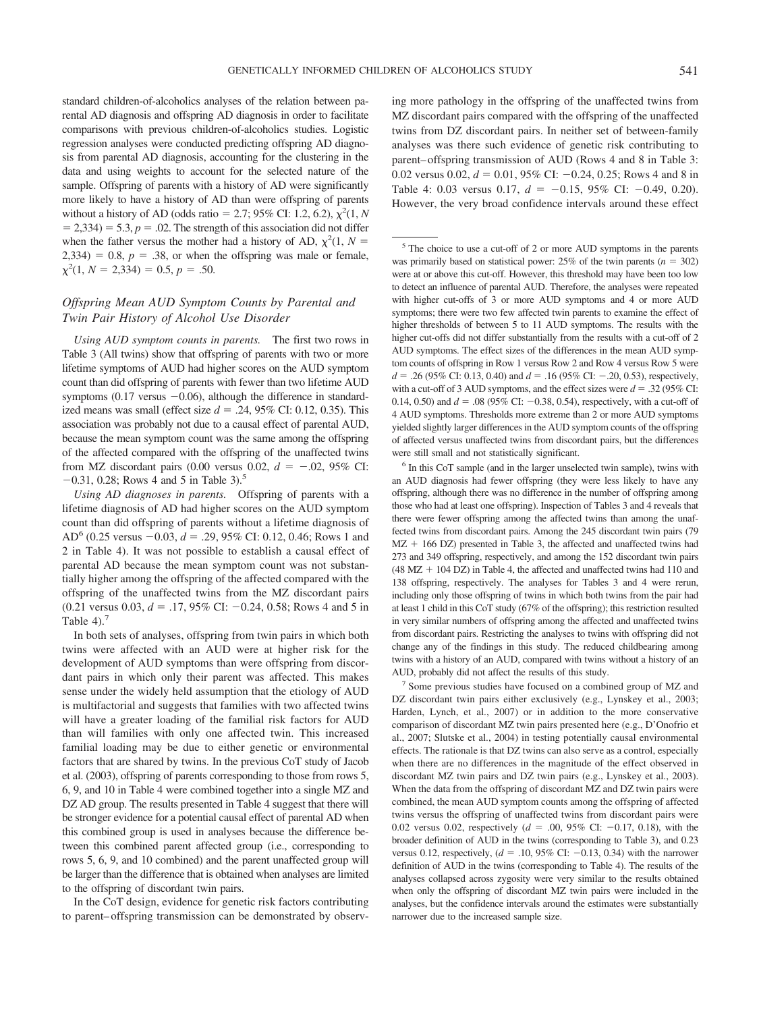standard children-of-alcoholics analyses of the relation between parental AD diagnosis and offspring AD diagnosis in order to facilitate comparisons with previous children-of-alcoholics studies. Logistic regression analyses were conducted predicting offspring AD diagnosis from parental AD diagnosis, accounting for the clustering in the data and using weights to account for the selected nature of the sample. Offspring of parents with a history of AD were significantly more likely to have a history of AD than were offspring of parents without a history of AD (odds ratio = 2.7; 95% CI: 1.2, 6.2),  $\chi^2(1, N)$  $= 2,334$ )  $= 5.3, p = .02$ . The strength of this association did not differ when the father versus the mother had a history of AD,  $\chi^2(1, N =$  $2,334$ ) = 0.8,  $p = .38$ , or when the offspring was male or female,  $\chi^2(1, N = 2,334) = 0.5, p = .50.$ 

# *Offspring Mean AUD Symptom Counts by Parental and Twin Pair History of Alcohol Use Disorder*

*Using AUD symptom counts in parents.* The first two rows in Table 3 (All twins) show that offspring of parents with two or more lifetime symptoms of AUD had higher scores on the AUD symptom count than did offspring of parents with fewer than two lifetime AUD symptoms (0.17 versus  $-0.06$ ), although the difference in standardized means was small (effect size  $d = .24,95\%$  CI: 0.12, 0.35). This association was probably not due to a causal effect of parental AUD, because the mean symptom count was the same among the offspring of the affected compared with the offspring of the unaffected twins from MZ discordant pairs (0.00 versus 0.02,  $d = -.02, 95\%$  CI:  $-0.31$ , 0.28; Rows 4 and 5 in Table 3).<sup>5</sup>

*Using AD diagnoses in parents.* Offspring of parents with a lifetime diagnosis of AD had higher scores on the AUD symptom count than did offspring of parents without a lifetime diagnosis of AD<sup>6</sup> (0.25 versus  $-0.03$ ,  $d = .29$ , 95% CI: 0.12, 0.46; Rows 1 and 2 in Table 4). It was not possible to establish a causal effect of parental AD because the mean symptom count was not substantially higher among the offspring of the affected compared with the offspring of the unaffected twins from the MZ discordant pairs  $(0.21 \text{ versus } 0.03, d = .17, 95\% \text{ CI: } -0.24, 0.58; \text{Rows } 4 \text{ and } 5 \text{ in }$ Table  $4$ ).<sup>7</sup>

In both sets of analyses, offspring from twin pairs in which both twins were affected with an AUD were at higher risk for the development of AUD symptoms than were offspring from discordant pairs in which only their parent was affected. This makes sense under the widely held assumption that the etiology of AUD is multifactorial and suggests that families with two affected twins will have a greater loading of the familial risk factors for AUD than will families with only one affected twin. This increased familial loading may be due to either genetic or environmental factors that are shared by twins. In the previous CoT study of Jacob et al. (2003), offspring of parents corresponding to those from rows 5, 6, 9, and 10 in Table 4 were combined together into a single MZ and DZ AD group. The results presented in Table 4 suggest that there will be stronger evidence for a potential causal effect of parental AD when this combined group is used in analyses because the difference between this combined parent affected group (i.e., corresponding to rows 5, 6, 9, and 10 combined) and the parent unaffected group will be larger than the difference that is obtained when analyses are limited to the offspring of discordant twin pairs.

In the CoT design, evidence for genetic risk factors contributing to parent–offspring transmission can be demonstrated by observing more pathology in the offspring of the unaffected twins from MZ discordant pairs compared with the offspring of the unaffected twins from DZ discordant pairs. In neither set of between-family analyses was there such evidence of genetic risk contributing to parent–offspring transmission of AUD (Rows 4 and 8 in Table 3: 0.02 versus 0.02,  $d = 0.01$ , 95% CI:  $-0.24$ , 0.25; Rows 4 and 8 in Table 4: 0.03 versus 0.17,  $d = -0.15$ , 95% CI:  $-0.49$ , 0.20). However, the very broad confidence intervals around these effect

<sup>5</sup> The choice to use a cut-off of 2 or more AUD symptoms in the parents was primarily based on statistical power:  $25\%$  of the twin parents ( $n = 302$ ) were at or above this cut-off. However, this threshold may have been too low to detect an influence of parental AUD. Therefore, the analyses were repeated with higher cut-offs of 3 or more AUD symptoms and 4 or more AUD symptoms; there were two few affected twin parents to examine the effect of higher thresholds of between 5 to 11 AUD symptoms. The results with the higher cut-offs did not differ substantially from the results with a cut-off of 2 AUD symptoms. The effect sizes of the differences in the mean AUD symptom counts of offspring in Row 1 versus Row 2 and Row 4 versus Row 5 were  $d = .26$  (95% CI: 0.13, 0.40) and  $d = .16$  (95% CI:  $-.20, 0.53$ ), respectively, with a cut-off of 3 AUD symptoms, and the effect sizes were  $d = .32$  (95% CI: 0.14, 0.50) and  $d = .08$  (95% CI:  $-0.38$ , 0.54), respectively, with a cut-off of 4 AUD symptoms. Thresholds more extreme than 2 or more AUD symptoms yielded slightly larger differences in the AUD symptom counts of the offspring of affected versus unaffected twins from discordant pairs, but the differences were still small and not statistically significant.

<sup>6</sup> In this CoT sample (and in the larger unselected twin sample), twins with an AUD diagnosis had fewer offspring (they were less likely to have any offspring, although there was no difference in the number of offspring among those who had at least one offspring). Inspection of Tables 3 and 4 reveals that there were fewer offspring among the affected twins than among the unaffected twins from discordant pairs. Among the 245 discordant twin pairs (79  $MZ + 166$  DZ) presented in Table 3, the affected and unaffected twins had 273 and 349 offspring, respectively, and among the 152 discordant twin pairs  $(48$  MZ  $+$  104 DZ) in Table 4, the affected and unaffected twins had 110 and 138 offspring, respectively. The analyses for Tables 3 and 4 were rerun, including only those offspring of twins in which both twins from the pair had at least 1 child in this CoT study (67% of the offspring); this restriction resulted in very similar numbers of offspring among the affected and unaffected twins from discordant pairs. Restricting the analyses to twins with offspring did not change any of the findings in this study. The reduced childbearing among twins with a history of an AUD, compared with twins without a history of an AUD, probably did not affect the results of this study.

<sup>7</sup> Some previous studies have focused on a combined group of MZ and DZ discordant twin pairs either exclusively (e.g., Lynskey et al., 2003; Harden, Lynch, et al., 2007) or in addition to the more conservative comparison of discordant MZ twin pairs presented here (e.g., D'Onofrio et al., 2007; Slutske et al., 2004) in testing potentially causal environmental effects. The rationale is that DZ twins can also serve as a control, especially when there are no differences in the magnitude of the effect observed in discordant MZ twin pairs and DZ twin pairs (e.g., Lynskey et al., 2003). When the data from the offspring of discordant MZ and DZ twin pairs were combined, the mean AUD symptom counts among the offspring of affected twins versus the offspring of unaffected twins from discordant pairs were 0.02 versus 0.02, respectively  $(d = .00, 95\% \text{ CI: } -0.17, 0.18)$ , with the broader definition of AUD in the twins (corresponding to Table 3), and 0.23 versus 0.12, respectively,  $(d = .10, 95\% \text{ CI: } -0.13, 0.34)$  with the narrower definition of AUD in the twins (corresponding to Table 4). The results of the analyses collapsed across zygosity were very similar to the results obtained when only the offspring of discordant MZ twin pairs were included in the analyses, but the confidence intervals around the estimates were substantially narrower due to the increased sample size.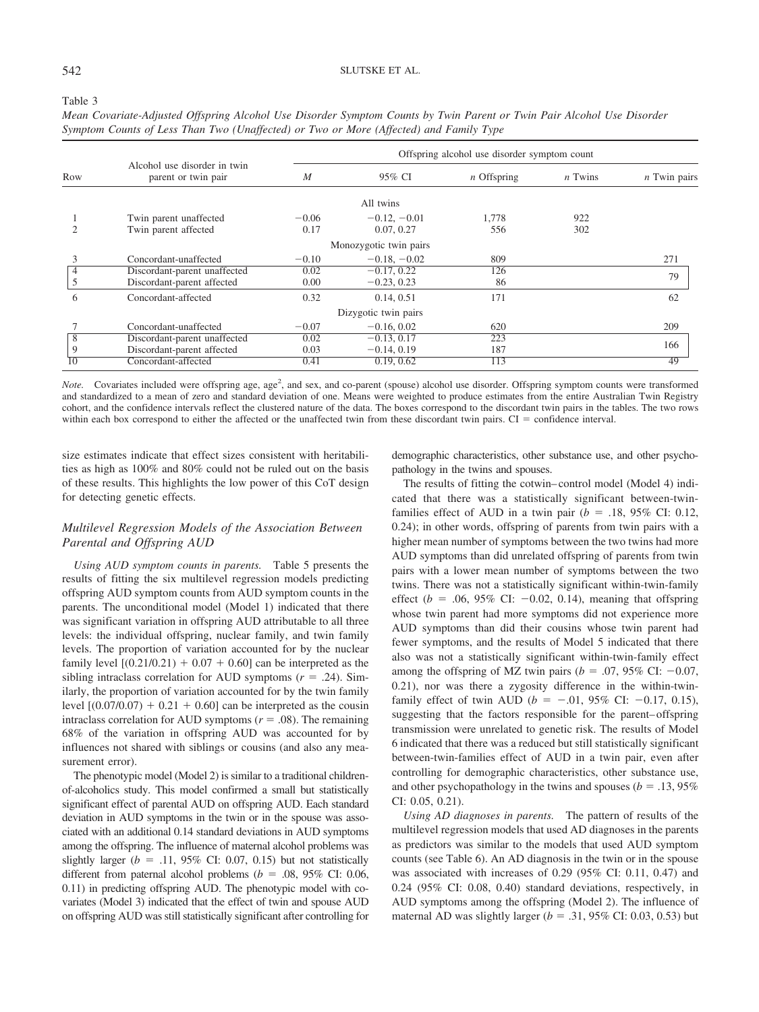| ×<br>- 1     |  |
|--------------|--|
| I<br>۰.<br>× |  |

|     |                                                     | Offspring alcohol use disorder symptom count |                        |               |           |                |
|-----|-----------------------------------------------------|----------------------------------------------|------------------------|---------------|-----------|----------------|
| Row | Alcohol use disorder in twin<br>parent or twin pair | $\boldsymbol{M}$                             | 95% CI                 | $n$ Offspring | $n$ Twins | $n$ Twin pairs |
|     |                                                     |                                              | All twins              |               |           |                |
|     | Twin parent unaffected                              | $-0.06$                                      | $-0.12, -0.01$         | 1.778         | 922       |                |
|     | Twin parent affected                                | 0.17                                         | 0.07, 0.27             | 556           | 302       |                |
|     |                                                     |                                              | Monozygotic twin pairs |               |           |                |
| 3   | Concordant-unaffected                               | $-0.10$                                      | $-0.18, -0.02$         | 809           |           | 271            |
| 4   | Discordant-parent unaffected                        | 0.02                                         | $-0.17, 0.22$          | 126           |           | 79             |
| 5   | Discordant-parent affected                          | 0.00                                         | $-0.23, 0.23$          | 86            |           |                |
| 6   | Concordant-affected                                 | 0.32                                         | 0.14, 0.51             | 171           |           | 62             |
|     |                                                     |                                              | Dizygotic twin pairs   |               |           |                |
|     | Concordant-unaffected                               | $-0.07$                                      | $-0.16, 0.02$          | 620           |           | 209            |
| 8   | Discordant-parent unaffected                        | 0.02                                         | $-0.13, 0.17$          | 223           |           |                |
| 9   | Discordant-parent affected                          | 0.03                                         | $-0.14, 0.19$          | 187           |           | 166            |
| 10  | Concordant-affected                                 | 0.41                                         | 0.19, 0.62             | 113           |           | 49             |

*Mean Covariate-Adjusted Offspring Alcohol Use Disorder Symptom Counts by Twin Parent or Twin Pair Alcohol Use Disorder Symptom Counts of Less Than Two (Unaffected) or Two or More (Affected) and Family Type*

*Note.* Covariates included were offspring age, age<sup>2</sup>, and sex, and co-parent (spouse) alcohol use disorder. Offspring symptom counts were transformed and standardized to a mean of zero and standard deviation of one. Means were weighted to produce estimates from the entire Australian Twin Registry cohort, and the confidence intervals reflect the clustered nature of the data. The boxes correspond to the discordant twin pairs in the tables. The two rows within each box correspond to either the affected or the unaffected twin from these discordant twin pairs.  $CI =$  confidence interval.

size estimates indicate that effect sizes consistent with heritabilities as high as 100% and 80% could not be ruled out on the basis of these results. This highlights the low power of this CoT design for detecting genetic effects.

# *Multilevel Regression Models of the Association Between Parental and Offspring AUD*

*Using AUD symptom counts in parents.* Table 5 presents the results of fitting the six multilevel regression models predicting offspring AUD symptom counts from AUD symptom counts in the parents. The unconditional model (Model 1) indicated that there was significant variation in offspring AUD attributable to all three levels: the individual offspring, nuclear family, and twin family levels. The proportion of variation accounted for by the nuclear family level  $[(0.21/0.21) + 0.07 + 0.60]$  can be interpreted as the sibling intraclass correlation for AUD symptoms  $(r = .24)$ . Similarly, the proportion of variation accounted for by the twin family level  $[(0.07/0.07) + 0.21 + 0.60]$  can be interpreted as the cousin intraclass correlation for AUD symptoms ( $r = .08$ ). The remaining 68% of the variation in offspring AUD was accounted for by influences not shared with siblings or cousins (and also any measurement error).

The phenotypic model (Model 2) is similar to a traditional childrenof-alcoholics study. This model confirmed a small but statistically significant effect of parental AUD on offspring AUD. Each standard deviation in AUD symptoms in the twin or in the spouse was associated with an additional 0.14 standard deviations in AUD symptoms among the offspring. The influence of maternal alcohol problems was slightly larger ( $b = .11, 95\%$  CI: 0.07, 0.15) but not statistically different from paternal alcohol problems ( $b = .08, 95\%$  CI: 0.06, 0.11) in predicting offspring AUD. The phenotypic model with covariates (Model 3) indicated that the effect of twin and spouse AUD on offspring AUD was still statistically significant after controlling for demographic characteristics, other substance use, and other psychopathology in the twins and spouses.

The results of fitting the cotwin–control model (Model 4) indicated that there was a statistically significant between-twinfamilies effect of AUD in a twin pair  $(b = .18, 95\% \text{ CI: } 0.12,$ 0.24); in other words, offspring of parents from twin pairs with a higher mean number of symptoms between the two twins had more AUD symptoms than did unrelated offspring of parents from twin pairs with a lower mean number of symptoms between the two twins. There was not a statistically significant within-twin-family effect ( $b = .06$ , 95% CI:  $-0.02$ , 0.14), meaning that offspring whose twin parent had more symptoms did not experience more AUD symptoms than did their cousins whose twin parent had fewer symptoms, and the results of Model 5 indicated that there also was not a statistically significant within-twin-family effect among the offspring of MZ twin pairs ( $b = .07, 95\%$  CI:  $-0.07$ , 0.21), nor was there a zygosity difference in the within-twinfamily effect of twin AUD ( $b = -.01, 95\%$  CI:  $-0.17, 0.15$ ), suggesting that the factors responsible for the parent–offspring transmission were unrelated to genetic risk. The results of Model 6 indicated that there was a reduced but still statistically significant between-twin-families effect of AUD in a twin pair, even after controlling for demographic characteristics, other substance use, and other psychopathology in the twins and spouses ( $b = .13, 95\%$ CI: 0.05, 0.21).

*Using AD diagnoses in parents.* The pattern of results of the multilevel regression models that used AD diagnoses in the parents as predictors was similar to the models that used AUD symptom counts (see Table 6). An AD diagnosis in the twin or in the spouse was associated with increases of 0.29 (95% CI: 0.11, 0.47) and 0.24 (95% CI: 0.08, 0.40) standard deviations, respectively, in AUD symptoms among the offspring (Model 2). The influence of maternal AD was slightly larger ( $b = .31,95\%$  CI: 0.03, 0.53) but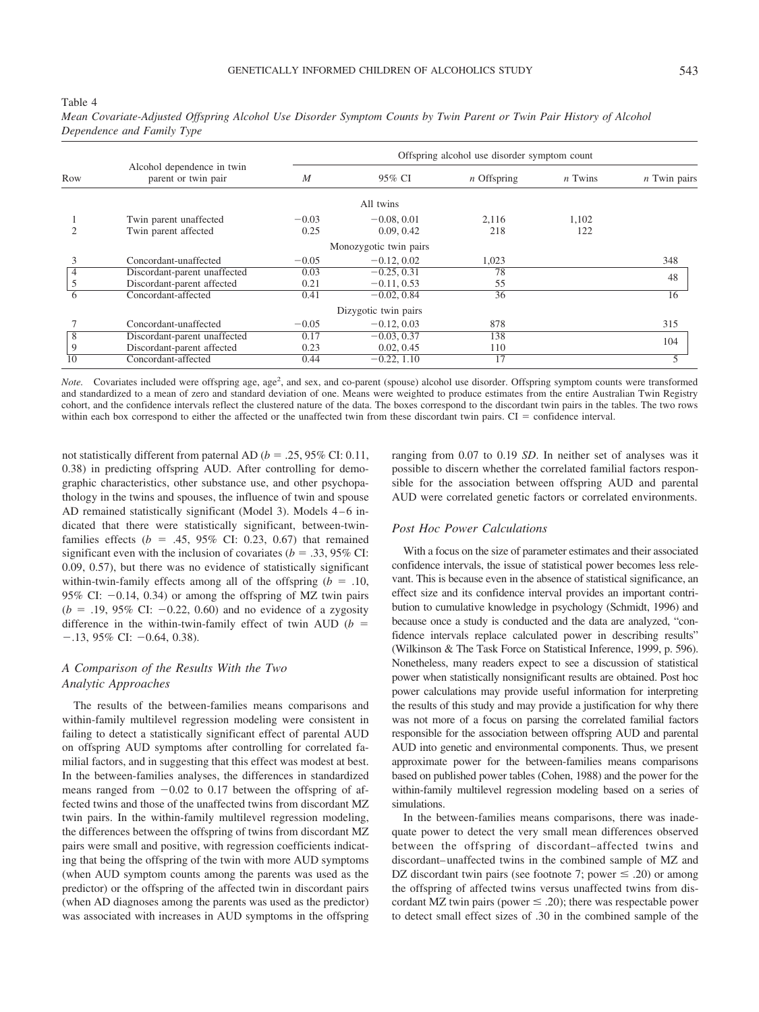|     |                                                   |                  |                        | Offspring alcohol use disorder symptom count |           |                |
|-----|---------------------------------------------------|------------------|------------------------|----------------------------------------------|-----------|----------------|
| Row | Alcohol dependence in twin<br>parent or twin pair | $\boldsymbol{M}$ | 95% CI                 | $n$ Offspring                                | $n$ Twins | $n$ Twin pairs |
|     |                                                   |                  | All twins              |                                              |           |                |
|     | Twin parent unaffected                            | $-0.03$          | $-0.08, 0.01$          | 2.116                                        | 1,102     |                |
|     | Twin parent affected                              | 0.25             | 0.09, 0.42             | 218                                          | 122       |                |
|     |                                                   |                  | Monozygotic twin pairs |                                              |           |                |
|     | Concordant-unaffected                             | $-0.05$          | $-0.12, 0.02$          | 1,023                                        |           | 348            |
| 4   | Discordant-parent unaffected                      | 0.03             | $-0.25, 0.31$          | 78                                           |           | 48             |
|     | Discordant-parent affected                        | 0.21             | $-0.11, 0.53$          | 55                                           |           |                |
| 6   | Concordant-affected                               | 0.41             | $-0.02, 0.84$          | 36                                           |           | 16             |
|     |                                                   |                  | Dizygotic twin pairs   |                                              |           |                |
|     | Concordant-unaffected                             | $-0.05$          | $-0.12, 0.03$          | 878                                          |           | 315            |
| 8   | Discordant-parent unaffected                      | 0.17             | $-0.03, 0.37$          | 138                                          |           | 104            |
| 9   | Discordant-parent affected                        | 0.23             | 0.02, 0.45             | 110                                          |           |                |
| 10  | Concordant-affected                               | 0.44             | $-0.22, 1.10$          | 17                                           |           | 5              |

| Mean Covariate-Adjusted Offspring Alcohol Use Disorder Symptom Counts by Twin Parent or Twin Pair History of Alcohol |  |  |  |  |  |  |
|----------------------------------------------------------------------------------------------------------------------|--|--|--|--|--|--|
| Dependence and Family Type                                                                                           |  |  |  |  |  |  |

*Note.* Covariates included were offspring age, age<sup>2</sup>, and sex, and co-parent (spouse) alcohol use disorder. Offspring symptom counts were transformed and standardized to a mean of zero and standard deviation of one. Means were weighted to produce estimates from the entire Australian Twin Registry cohort, and the confidence intervals reflect the clustered nature of the data. The boxes correspond to the discordant twin pairs in the tables. The two rows within each box correspond to either the affected or the unaffected twin from these discordant twin pairs.  $CI =$  confidence interval.

not statistically different from paternal AD ( $b = .25,95\%$  CI: 0.11, 0.38) in predicting offspring AUD. After controlling for demographic characteristics, other substance use, and other psychopathology in the twins and spouses, the influence of twin and spouse AD remained statistically significant (Model 3). Models 4–6 indicated that there were statistically significant, between-twinfamilies effects ( $b = .45, 95\%$  CI: 0.23, 0.67) that remained significant even with the inclusion of covariates ( $b = .33, 95\%$  CI: 0.09, 0.57), but there was no evidence of statistically significant within-twin-family effects among all of the offspring  $(b = .10, )$ 95% CI:  $-0.14$ , 0.34) or among the offspring of MZ twin pairs  $(b = .19, 95\% \text{ CI: } -0.22, 0.60)$  and no evidence of a zygosity difference in the within-twin-family effect of twin AUD ( $b$  =  $-.13, 95\%$  CI:  $-0.64, 0.38$ ).

# *A Comparison of the Results With the Two Analytic Approaches*

The results of the between-families means comparisons and within-family multilevel regression modeling were consistent in failing to detect a statistically significant effect of parental AUD on offspring AUD symptoms after controlling for correlated familial factors, and in suggesting that this effect was modest at best. In the between-families analyses, the differences in standardized means ranged from  $-0.02$  to 0.17 between the offspring of affected twins and those of the unaffected twins from discordant MZ twin pairs. In the within-family multilevel regression modeling, the differences between the offspring of twins from discordant MZ pairs were small and positive, with regression coefficients indicating that being the offspring of the twin with more AUD symptoms (when AUD symptom counts among the parents was used as the predictor) or the offspring of the affected twin in discordant pairs (when AD diagnoses among the parents was used as the predictor) was associated with increases in AUD symptoms in the offspring ranging from 0.07 to 0.19 *SD*. In neither set of analyses was it possible to discern whether the correlated familial factors responsible for the association between offspring AUD and parental AUD were correlated genetic factors or correlated environments.

#### *Post Hoc Power Calculations*

With a focus on the size of parameter estimates and their associated confidence intervals, the issue of statistical power becomes less relevant. This is because even in the absence of statistical significance, an effect size and its confidence interval provides an important contribution to cumulative knowledge in psychology (Schmidt, 1996) and because once a study is conducted and the data are analyzed, "confidence intervals replace calculated power in describing results" (Wilkinson & The Task Force on Statistical Inference, 1999, p. 596). Nonetheless, many readers expect to see a discussion of statistical power when statistically nonsignificant results are obtained. Post hoc power calculations may provide useful information for interpreting the results of this study and may provide a justification for why there was not more of a focus on parsing the correlated familial factors responsible for the association between offspring AUD and parental AUD into genetic and environmental components. Thus, we present approximate power for the between-families means comparisons based on published power tables (Cohen, 1988) and the power for the within-family multilevel regression modeling based on a series of simulations.

In the between-families means comparisons, there was inadequate power to detect the very small mean differences observed between the offspring of discordant–affected twins and discordant–unaffected twins in the combined sample of MZ and DZ discordant twin pairs (see footnote 7; power  $\le$  .20) or among the offspring of affected twins versus unaffected twins from discordant MZ twin pairs (power  $\leq$  .20); there was respectable power to detect small effect sizes of .30 in the combined sample of the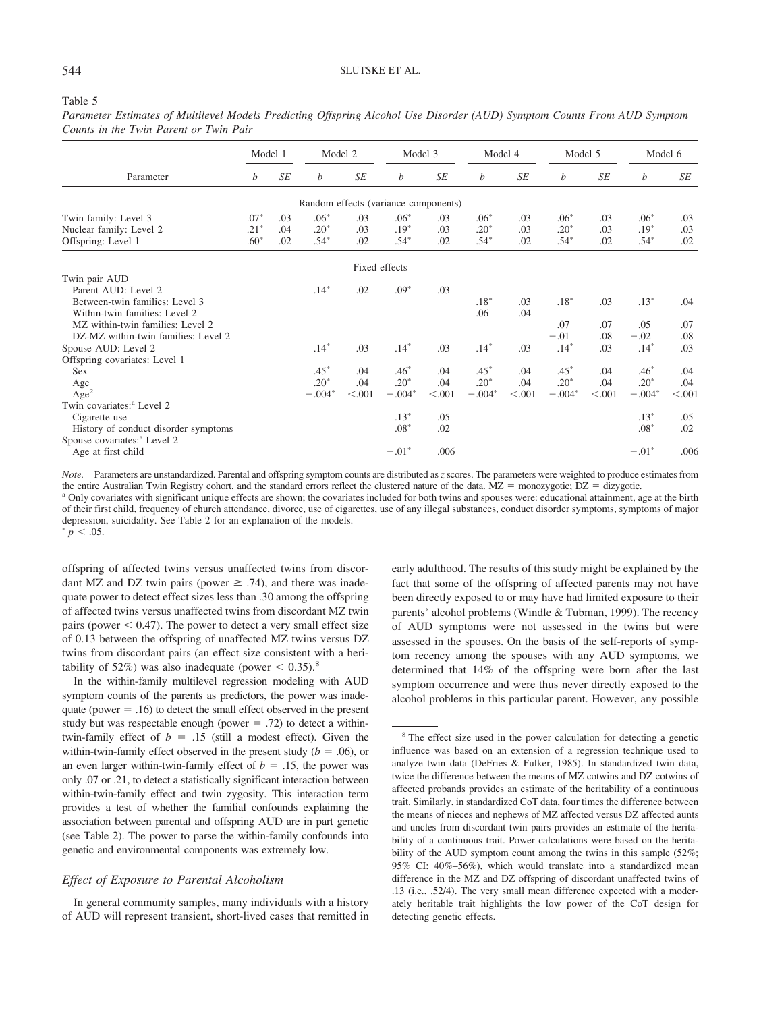#### 544 SLUTSKE ET AL.

|                                         | Model 1 |           | Model 2                              |           | Model 3       |           | Model 4  |           | Model 5  |           | Model 6  |         |
|-----------------------------------------|---------|-----------|--------------------------------------|-----------|---------------|-----------|----------|-----------|----------|-----------|----------|---------|
| Parameter                               | b       | <b>SE</b> | b                                    | <b>SE</b> | b             | <b>SE</b> | b        | <b>SE</b> | b        | <b>SE</b> | b        | SE      |
|                                         |         |           | Random effects (variance components) |           |               |           |          |           |          |           |          |         |
| Twin family: Level 3                    | $.07*$  | .03       | $.06*$                               | .03       | $.06*$        | .03       | $.06*$   | .03       | $.06*$   | .03       | $.06*$   | .03     |
| Nuclear family: Level 2                 | $.21*$  | .04       | $.20*$                               | .03       | $.19*$        | .03       | $.20*$   | .03       | $.20*$   | .03       | $.19*$   | .03     |
| Offspring: Level 1                      | $.60*$  | .02       | $.54*$                               | .02       | $.54*$        | .02       | $.54*$   | .02       | $.54*$   | .02       | $.54*$   | .02     |
|                                         |         |           |                                      |           | Fixed effects |           |          |           |          |           |          |         |
| Twin pair AUD                           |         |           |                                      |           |               |           |          |           |          |           |          |         |
| Parent AUD: Level 2                     |         |           | $.14*$                               | .02       | $.09*$        | .03       |          |           |          |           |          |         |
| Between-twin families: Level 3          |         |           |                                      |           |               |           | $.18*$   | .03       | $.18*$   | .03       | $.13*$   | .04     |
| Within-twin families: Level 2           |         |           |                                      |           |               |           | .06      | .04       |          |           |          |         |
| MZ within-twin families: Level 2        |         |           |                                      |           |               |           |          |           | .07      | .07       | .05      | .07     |
| DZ-MZ within-twin families: Level 2     |         |           |                                      |           |               |           |          |           | $-.01$   | .08       | $-.02$   | .08     |
| Spouse AUD: Level 2                     |         |           | $.14*$                               | .03       | $.14*$        | .03       | $.14*$   | .03       | $.14*$   | .03       | $.14*$   | .03     |
| Offspring covariates: Level 1           |         |           |                                      |           |               |           |          |           |          |           |          |         |
| <b>Sex</b>                              |         |           | $.45*$                               | .04       | $.46*$        | .04       | $.45*$   | .04       | $.45*$   | .04       | $.46*$   | .04     |
| Age                                     |         |           | $.20*$                               | .04       | $.20*$        | .04       | $.20*$   | .04       | $.20*$   | .04       | $.20*$   | .04     |
| $\overline{Age}^2$                      |         |           | $-.004*$                             | < 0.001   | $-.004*$      | < 0.001   | $-.004*$ | < .001    | $-.004*$ | < 0.001   | $-.004*$ | < 0.001 |
| Twin covariates: <sup>a</sup> Level 2   |         |           |                                      |           |               |           |          |           |          |           |          |         |
| Cigarette use                           |         |           |                                      |           | $.13*$        | .05       |          |           |          |           | $.13*$   | .05     |
| History of conduct disorder symptoms    |         |           |                                      |           | $.08*$        | .02       |          |           |          |           | $.08*$   | .02     |
| Spouse covariates: <sup>a</sup> Level 2 |         |           |                                      |           |               |           |          |           |          |           |          |         |
| Age at first child                      |         |           |                                      |           | $-.01*$       | .006      |          |           |          |           | $-.01*$  | .006    |

*Parameter Estimates of Multilevel Models Predicting Offspring Alcohol Use Disorder (AUD) Symptom Counts From AUD Symptom Counts in the Twin Parent or Twin Pair*

*Note.* Parameters are unstandardized. Parental and offspring symptom counts are distributed as *z* scores. The parameters were weighted to produce estimates from the entire Australian Twin Registry cohort, and the standard errors reflect the clustered nature of the data.  $MZ = \text{monozygotic}$ ;  $DZ = \text{digugotic}$ .<br><sup>a</sup> Only covariates with significant unique effects are shown; the covariates inclu

of their first child, frequency of church attendance, divorce, use of cigarettes, use of any illegal substances, conduct disorder symptoms, symptoms of major depression, suicidality. See Table 2 for an explanation of the models.  $p < .05$ .

offspring of affected twins versus unaffected twins from discordant MZ and DZ twin pairs (power  $\ge$  .74), and there was inadequate power to detect effect sizes less than .30 among the offspring of affected twins versus unaffected twins from discordant MZ twin pairs (power  $< 0.47$ ). The power to detect a very small effect size of 0.13 between the offspring of unaffected MZ twins versus DZ twins from discordant pairs (an effect size consistent with a heritability of 52%) was also inadequate (power  $\leq 0.35$ ).<sup>8</sup>

In the within-family multilevel regression modeling with AUD symptom counts of the parents as predictors, the power was inadequate (power  $= .16$ ) to detect the small effect observed in the present study but was respectable enough (power  $= .72$ ) to detect a withintwin-family effect of  $b = .15$  (still a modest effect). Given the within-twin-family effect observed in the present study ( $b = .06$ ), or an even larger within-twin-family effect of  $b = .15$ , the power was only .07 or .21, to detect a statistically significant interaction between within-twin-family effect and twin zygosity. This interaction term provides a test of whether the familial confounds explaining the association between parental and offspring AUD are in part genetic (see Table 2). The power to parse the within-family confounds into genetic and environmental components was extremely low.

## *Effect of Exposure to Parental Alcoholism*

In general community samples, many individuals with a history of AUD will represent transient, short-lived cases that remitted in early adulthood. The results of this study might be explained by the fact that some of the offspring of affected parents may not have been directly exposed to or may have had limited exposure to their parents' alcohol problems (Windle & Tubman, 1999). The recency of AUD symptoms were not assessed in the twins but were assessed in the spouses. On the basis of the self-reports of symptom recency among the spouses with any AUD symptoms, we determined that 14% of the offspring were born after the last symptom occurrence and were thus never directly exposed to the alcohol problems in this particular parent. However, any possible

<sup>&</sup>lt;sup>8</sup> The effect size used in the power calculation for detecting a genetic influence was based on an extension of a regression technique used to analyze twin data (DeFries & Fulker, 1985). In standardized twin data, twice the difference between the means of MZ cotwins and DZ cotwins of affected probands provides an estimate of the heritability of a continuous trait. Similarly, in standardized CoT data, four times the difference between the means of nieces and nephews of MZ affected versus DZ affected aunts and uncles from discordant twin pairs provides an estimate of the heritability of a continuous trait. Power calculations were based on the heritability of the AUD symptom count among the twins in this sample (52%; 95% CI: 40%–56%), which would translate into a standardized mean difference in the MZ and DZ offspring of discordant unaffected twins of .13 (i.e., .52/4). The very small mean difference expected with a moderately heritable trait highlights the low power of the CoT design for detecting genetic effects.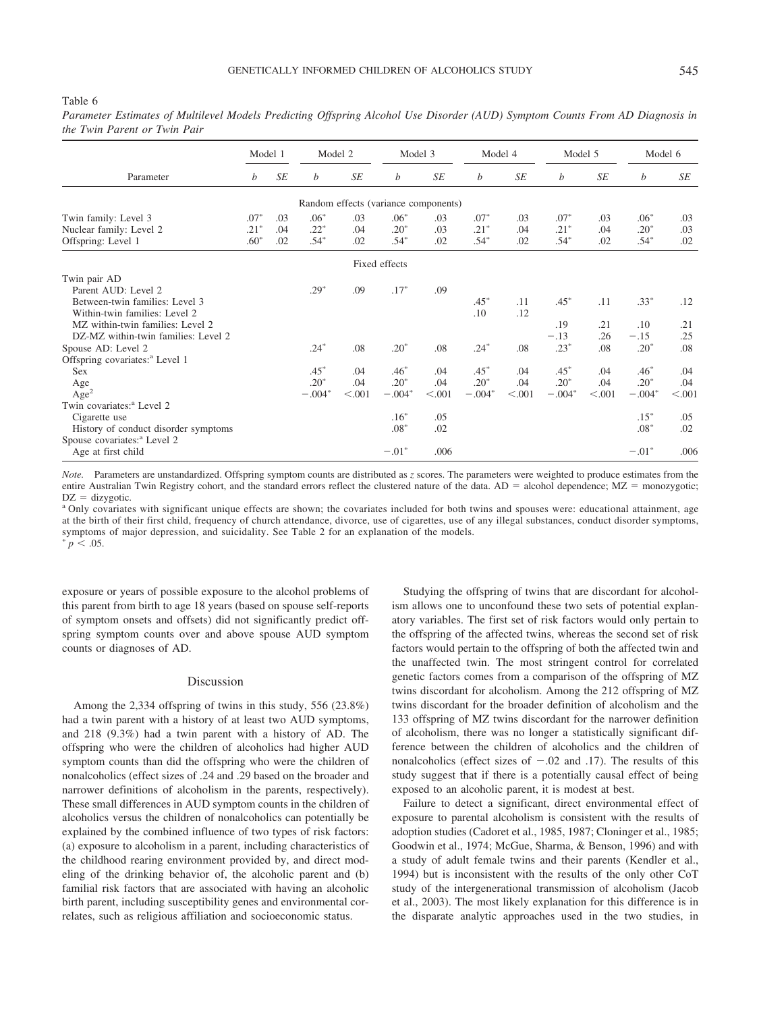|                                            | Model 1 |           | Model 2  |           | Model 3                              |           | Model 4  |           | Model 5  |           | Model 6  |         |
|--------------------------------------------|---------|-----------|----------|-----------|--------------------------------------|-----------|----------|-----------|----------|-----------|----------|---------|
| Parameter                                  | b       | <b>SE</b> | b        | <b>SE</b> | b                                    | <b>SE</b> | b        | <b>SE</b> | b        | <b>SE</b> | b        | SE      |
|                                            |         |           |          |           | Random effects (variance components) |           |          |           |          |           |          |         |
| Twin family: Level 3                       | $.07*$  | .03       | $.06*$   | .03       | $.06*$                               | .03       | $.07*$   | .03       | $.07*$   | .03       | $.06*$   | .03     |
| Nuclear family: Level 2                    | $.21*$  | .04       | $.22*$   | .04       | $.20*$                               | .03       | $.21*$   | .04       | $.21*$   | .04       | $.20*$   | .03     |
| Offspring: Level 1                         | $.60*$  | .02       | $.54*$   | .02       | $.54*$                               | .02       | $.54*$   | .02       | $.54*$   | .02       | $.54*$   | .02     |
|                                            |         |           |          |           | Fixed effects                        |           |          |           |          |           |          |         |
| Twin pair AD                               |         |           |          |           |                                      |           |          |           |          |           |          |         |
| Parent AUD: Level 2                        |         |           | $.29*$   | .09       | $.17*$                               | .09       |          |           |          |           |          |         |
| Between-twin families: Level 3             |         |           |          |           |                                      |           | $.45*$   | .11       | $.45*$   | .11       | $.33*$   | .12     |
| Within-twin families: Level 2              |         |           |          |           |                                      |           | .10      | .12       |          |           |          |         |
| MZ within-twin families: Level 2           |         |           |          |           |                                      |           |          |           | .19      | .21       | .10      | .21     |
| DZ-MZ within-twin families: Level 2        |         |           |          |           |                                      |           |          |           | $-.13$   | .26       | $-.15$   | .25     |
| Spouse AD: Level 2                         |         |           | $.24*$   | .08       | $.20*$                               | .08       | $.24*$   | .08       | $.23*$   | .08       | $.20*$   | .08     |
| Offspring covariates: <sup>a</sup> Level 1 |         |           |          |           |                                      |           |          |           |          |           |          |         |
| <b>Sex</b>                                 |         |           | $.45*$   | .04       | $.46*$                               | .04       | $.45*$   | .04       | $.45*$   | .04       | $.46*$   | .04     |
| Age                                        |         |           | $.20*$   | .04       | $.20*$                               | .04       | $.20*$   | .04       | $.20*$   | .04       | $.20*$   | .04     |
| Age <sup>2</sup>                           |         |           | $-.004*$ | < 0.001   | $-.004*$                             | < 0.001   | $-.004*$ | < 0.001   | $-.004*$ | < 0.001   | $-.004*$ | < 0.001 |
| Twin covariates: <sup>a</sup> Level 2      |         |           |          |           |                                      |           |          |           |          |           |          |         |
| Cigarette use                              |         |           |          |           | $.16*$                               | .05       |          |           |          |           | $.15*$   | .05     |
| History of conduct disorder symptoms       |         |           |          |           | $.08*$                               | .02       |          |           |          |           | $.08*$   | .02     |
| Spouse covariates: <sup>a</sup> Level 2    |         |           |          |           |                                      |           |          |           |          |           |          |         |
| Age at first child                         |         |           |          |           | $-.01*$                              | .006      |          |           |          |           | $-.01*$  | .006    |

*Parameter Estimates of Multilevel Models Predicting Offspring Alcohol Use Disorder (AUD) Symptom Counts From AD Diagnosis in the Twin Parent or Twin Pair*

*Note.* Parameters are unstandardized. Offspring symptom counts are distributed as *z* scores. The parameters were weighted to produce estimates from the entire Australian Twin Registry cohort, and the standard errors reflect the clustered nature of the data. AD = alcohol dependence; MZ = monozygotic;  $DZ =$  dizygotic.<br><sup>a</sup> Only covariates with significant unique effects are shown; the covariates included for both twins and spouses were: educational attainment, age

at the birth of their first child, frequency of church attendance, divorce, use of cigarettes, use of any illegal substances, conduct disorder symptoms, symptoms of major depression, and suicidality. See Table 2 for an explanation of the models.  $p < .05$ .

exposure or years of possible exposure to the alcohol problems of this parent from birth to age 18 years (based on spouse self-reports of symptom onsets and offsets) did not significantly predict offspring symptom counts over and above spouse AUD symptom counts or diagnoses of AD.

## Discussion

Among the 2,334 offspring of twins in this study, 556 (23.8%) had a twin parent with a history of at least two AUD symptoms, and 218 (9.3%) had a twin parent with a history of AD. The offspring who were the children of alcoholics had higher AUD symptom counts than did the offspring who were the children of nonalcoholics (effect sizes of .24 and .29 based on the broader and narrower definitions of alcoholism in the parents, respectively). These small differences in AUD symptom counts in the children of alcoholics versus the children of nonalcoholics can potentially be explained by the combined influence of two types of risk factors: (a) exposure to alcoholism in a parent, including characteristics of the childhood rearing environment provided by, and direct modeling of the drinking behavior of, the alcoholic parent and (b) familial risk factors that are associated with having an alcoholic birth parent, including susceptibility genes and environmental correlates, such as religious affiliation and socioeconomic status.

Studying the offspring of twins that are discordant for alcoholism allows one to unconfound these two sets of potential explanatory variables. The first set of risk factors would only pertain to the offspring of the affected twins, whereas the second set of risk factors would pertain to the offspring of both the affected twin and the unaffected twin. The most stringent control for correlated genetic factors comes from a comparison of the offspring of MZ twins discordant for alcoholism. Among the 212 offspring of MZ twins discordant for the broader definition of alcoholism and the 133 offspring of MZ twins discordant for the narrower definition of alcoholism, there was no longer a statistically significant difference between the children of alcoholics and the children of nonalcoholics (effect sizes of  $-.02$  and .17). The results of this study suggest that if there is a potentially causal effect of being exposed to an alcoholic parent, it is modest at best.

Failure to detect a significant, direct environmental effect of exposure to parental alcoholism is consistent with the results of adoption studies (Cadoret et al., 1985, 1987; Cloninger et al., 1985; Goodwin et al., 1974; McGue, Sharma, & Benson, 1996) and with a study of adult female twins and their parents (Kendler et al., 1994) but is inconsistent with the results of the only other CoT study of the intergenerational transmission of alcoholism (Jacob et al., 2003). The most likely explanation for this difference is in the disparate analytic approaches used in the two studies, in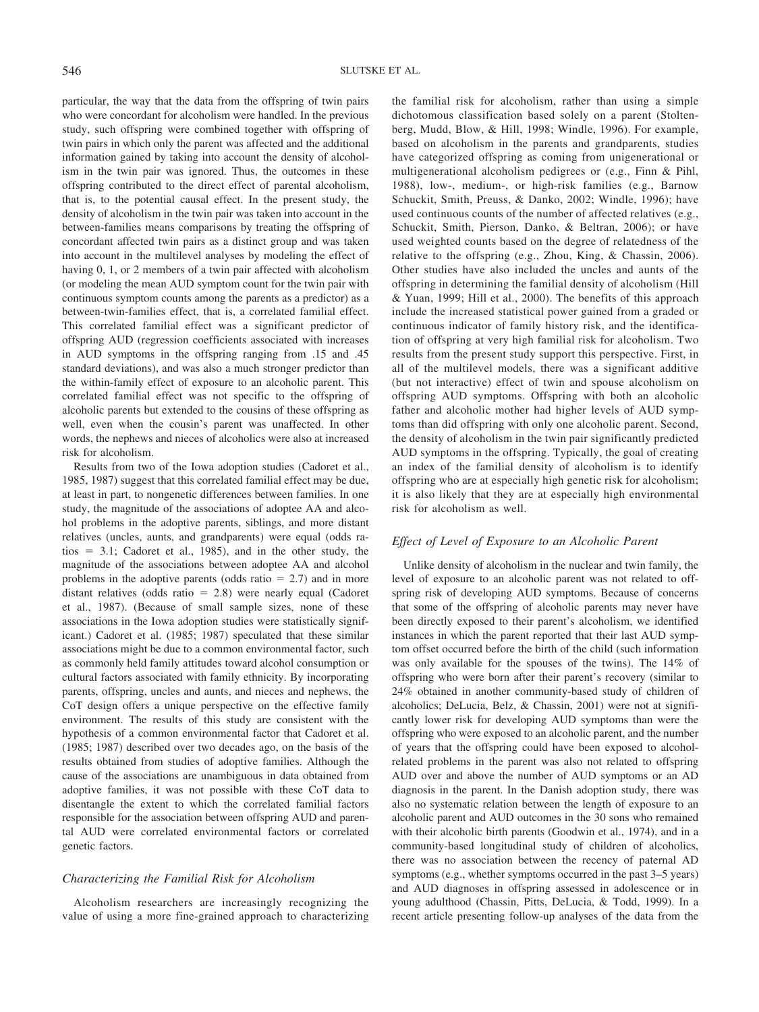particular, the way that the data from the offspring of twin pairs who were concordant for alcoholism were handled. In the previous study, such offspring were combined together with offspring of twin pairs in which only the parent was affected and the additional information gained by taking into account the density of alcoholism in the twin pair was ignored. Thus, the outcomes in these offspring contributed to the direct effect of parental alcoholism, that is, to the potential causal effect. In the present study, the density of alcoholism in the twin pair was taken into account in the between-families means comparisons by treating the offspring of concordant affected twin pairs as a distinct group and was taken into account in the multilevel analyses by modeling the effect of having 0, 1, or 2 members of a twin pair affected with alcoholism (or modeling the mean AUD symptom count for the twin pair with continuous symptom counts among the parents as a predictor) as a between-twin-families effect, that is, a correlated familial effect. This correlated familial effect was a significant predictor of offspring AUD (regression coefficients associated with increases in AUD symptoms in the offspring ranging from .15 and .45 standard deviations), and was also a much stronger predictor than the within-family effect of exposure to an alcoholic parent. This correlated familial effect was not specific to the offspring of alcoholic parents but extended to the cousins of these offspring as well, even when the cousin's parent was unaffected. In other words, the nephews and nieces of alcoholics were also at increased risk for alcoholism.

Results from two of the Iowa adoption studies (Cadoret et al., 1985, 1987) suggest that this correlated familial effect may be due, at least in part, to nongenetic differences between families. In one study, the magnitude of the associations of adoptee AA and alcohol problems in the adoptive parents, siblings, and more distant relatives (uncles, aunts, and grandparents) were equal (odds ratios  $= 3.1$ ; Cadoret et al., 1985), and in the other study, the magnitude of the associations between adoptee AA and alcohol problems in the adoptive parents (odds ratio  $= 2.7$ ) and in more distant relatives (odds ratio  $= 2.8$ ) were nearly equal (Cadoret et al., 1987). (Because of small sample sizes, none of these associations in the Iowa adoption studies were statistically significant.) Cadoret et al. (1985; 1987) speculated that these similar associations might be due to a common environmental factor, such as commonly held family attitudes toward alcohol consumption or cultural factors associated with family ethnicity. By incorporating parents, offspring, uncles and aunts, and nieces and nephews, the CoT design offers a unique perspective on the effective family environment. The results of this study are consistent with the hypothesis of a common environmental factor that Cadoret et al. (1985; 1987) described over two decades ago, on the basis of the results obtained from studies of adoptive families. Although the cause of the associations are unambiguous in data obtained from adoptive families, it was not possible with these CoT data to disentangle the extent to which the correlated familial factors responsible for the association between offspring AUD and parental AUD were correlated environmental factors or correlated genetic factors.

## *Characterizing the Familial Risk for Alcoholism*

Alcoholism researchers are increasingly recognizing the value of using a more fine-grained approach to characterizing the familial risk for alcoholism, rather than using a simple dichotomous classification based solely on a parent (Stoltenberg, Mudd, Blow, & Hill, 1998; Windle, 1996). For example, based on alcoholism in the parents and grandparents, studies have categorized offspring as coming from unigenerational or multigenerational alcoholism pedigrees or (e.g., Finn & Pihl, 1988), low-, medium-, or high-risk families (e.g., Barnow Schuckit, Smith, Preuss, & Danko, 2002; Windle, 1996); have used continuous counts of the number of affected relatives (e.g., Schuckit, Smith, Pierson, Danko, & Beltran, 2006); or have used weighted counts based on the degree of relatedness of the relative to the offspring (e.g., Zhou, King, & Chassin, 2006). Other studies have also included the uncles and aunts of the offspring in determining the familial density of alcoholism (Hill & Yuan, 1999; Hill et al., 2000). The benefits of this approach include the increased statistical power gained from a graded or continuous indicator of family history risk, and the identification of offspring at very high familial risk for alcoholism. Two results from the present study support this perspective. First, in all of the multilevel models, there was a significant additive (but not interactive) effect of twin and spouse alcoholism on offspring AUD symptoms. Offspring with both an alcoholic father and alcoholic mother had higher levels of AUD symptoms than did offspring with only one alcoholic parent. Second, the density of alcoholism in the twin pair significantly predicted AUD symptoms in the offspring. Typically, the goal of creating an index of the familial density of alcoholism is to identify offspring who are at especially high genetic risk for alcoholism; it is also likely that they are at especially high environmental risk for alcoholism as well.

## *Effect of Level of Exposure to an Alcoholic Parent*

Unlike density of alcoholism in the nuclear and twin family, the level of exposure to an alcoholic parent was not related to offspring risk of developing AUD symptoms. Because of concerns that some of the offspring of alcoholic parents may never have been directly exposed to their parent's alcoholism, we identified instances in which the parent reported that their last AUD symptom offset occurred before the birth of the child (such information was only available for the spouses of the twins). The 14% of offspring who were born after their parent's recovery (similar to 24% obtained in another community-based study of children of alcoholics; DeLucia, Belz, & Chassin, 2001) were not at significantly lower risk for developing AUD symptoms than were the offspring who were exposed to an alcoholic parent, and the number of years that the offspring could have been exposed to alcoholrelated problems in the parent was also not related to offspring AUD over and above the number of AUD symptoms or an AD diagnosis in the parent. In the Danish adoption study, there was also no systematic relation between the length of exposure to an alcoholic parent and AUD outcomes in the 30 sons who remained with their alcoholic birth parents (Goodwin et al., 1974), and in a community-based longitudinal study of children of alcoholics, there was no association between the recency of paternal AD symptoms (e.g., whether symptoms occurred in the past 3–5 years) and AUD diagnoses in offspring assessed in adolescence or in young adulthood (Chassin, Pitts, DeLucia, & Todd, 1999). In a recent article presenting follow-up analyses of the data from the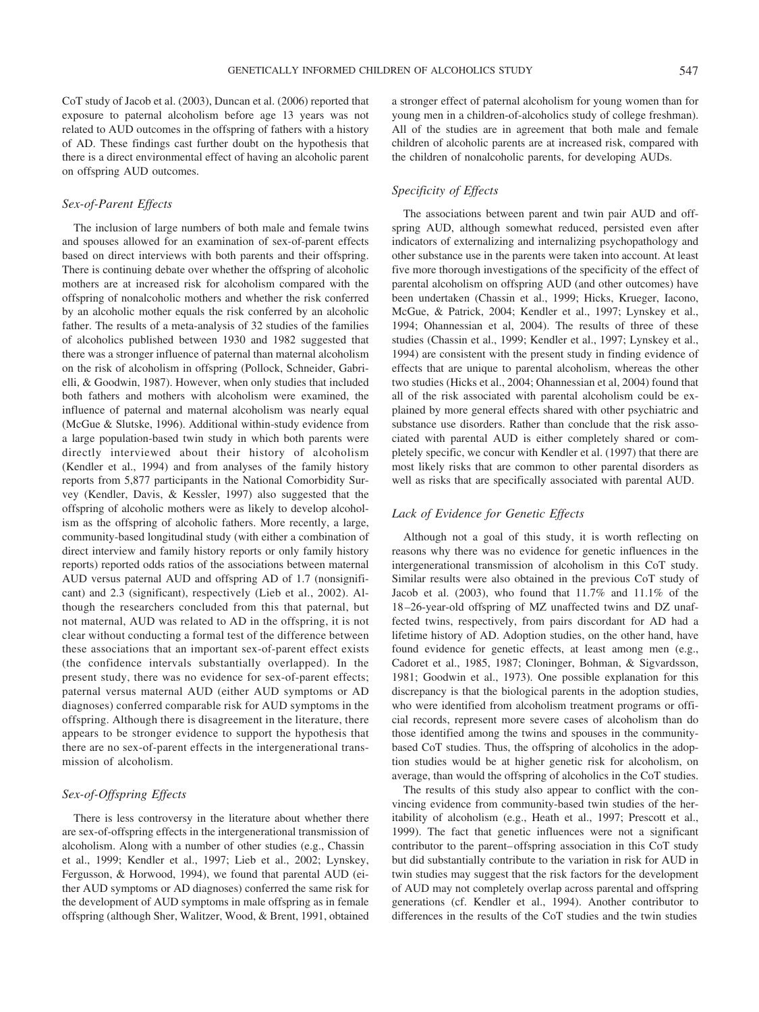## *Sex-of-Parent Effects*

The inclusion of large numbers of both male and female twins and spouses allowed for an examination of sex-of-parent effects based on direct interviews with both parents and their offspring. There is continuing debate over whether the offspring of alcoholic mothers are at increased risk for alcoholism compared with the offspring of nonalcoholic mothers and whether the risk conferred by an alcoholic mother equals the risk conferred by an alcoholic father. The results of a meta-analysis of 32 studies of the families of alcoholics published between 1930 and 1982 suggested that there was a stronger influence of paternal than maternal alcoholism on the risk of alcoholism in offspring (Pollock, Schneider, Gabrielli, & Goodwin, 1987). However, when only studies that included both fathers and mothers with alcoholism were examined, the influence of paternal and maternal alcoholism was nearly equal (McGue & Slutske, 1996). Additional within-study evidence from a large population-based twin study in which both parents were directly interviewed about their history of alcoholism (Kendler et al., 1994) and from analyses of the family history reports from 5,877 participants in the National Comorbidity Survey (Kendler, Davis, & Kessler, 1997) also suggested that the offspring of alcoholic mothers were as likely to develop alcoholism as the offspring of alcoholic fathers. More recently, a large, community-based longitudinal study (with either a combination of direct interview and family history reports or only family history reports) reported odds ratios of the associations between maternal AUD versus paternal AUD and offspring AD of 1.7 (nonsignificant) and 2.3 (significant), respectively (Lieb et al., 2002). Although the researchers concluded from this that paternal, but not maternal, AUD was related to AD in the offspring, it is not clear without conducting a formal test of the difference between these associations that an important sex-of-parent effect exists (the confidence intervals substantially overlapped). In the present study, there was no evidence for sex-of-parent effects; paternal versus maternal AUD (either AUD symptoms or AD diagnoses) conferred comparable risk for AUD symptoms in the offspring. Although there is disagreement in the literature, there appears to be stronger evidence to support the hypothesis that there are no sex-of-parent effects in the intergenerational transmission of alcoholism.

## *Sex-of-Offspring Effects*

There is less controversy in the literature about whether there are sex-of-offspring effects in the intergenerational transmission of alcoholism. Along with a number of other studies (e.g., Chassin et al., 1999; Kendler et al., 1997; Lieb et al., 2002; Lynskey, Fergusson, & Horwood, 1994), we found that parental AUD (either AUD symptoms or AD diagnoses) conferred the same risk for the development of AUD symptoms in male offspring as in female offspring (although Sher, Walitzer, Wood, & Brent, 1991, obtained a stronger effect of paternal alcoholism for young women than for young men in a children-of-alcoholics study of college freshman). All of the studies are in agreement that both male and female children of alcoholic parents are at increased risk, compared with the children of nonalcoholic parents, for developing AUDs.

# *Specificity of Effects*

The associations between parent and twin pair AUD and offspring AUD, although somewhat reduced, persisted even after indicators of externalizing and internalizing psychopathology and other substance use in the parents were taken into account. At least five more thorough investigations of the specificity of the effect of parental alcoholism on offspring AUD (and other outcomes) have been undertaken (Chassin et al., 1999; Hicks, Krueger, Iacono, McGue, & Patrick, 2004; Kendler et al., 1997; Lynskey et al., 1994; Ohannessian et al, 2004). The results of three of these studies (Chassin et al., 1999; Kendler et al., 1997; Lynskey et al., 1994) are consistent with the present study in finding evidence of effects that are unique to parental alcoholism, whereas the other two studies (Hicks et al., 2004; Ohannessian et al, 2004) found that all of the risk associated with parental alcoholism could be explained by more general effects shared with other psychiatric and substance use disorders. Rather than conclude that the risk associated with parental AUD is either completely shared or completely specific, we concur with Kendler et al. (1997) that there are most likely risks that are common to other parental disorders as well as risks that are specifically associated with parental AUD.

# *Lack of Evidence for Genetic Effects*

Although not a goal of this study, it is worth reflecting on reasons why there was no evidence for genetic influences in the intergenerational transmission of alcoholism in this CoT study. Similar results were also obtained in the previous CoT study of Jacob et al. (2003), who found that 11.7% and 11.1% of the 18–26-year-old offspring of MZ unaffected twins and DZ unaffected twins, respectively, from pairs discordant for AD had a lifetime history of AD. Adoption studies, on the other hand, have found evidence for genetic effects, at least among men (e.g., Cadoret et al., 1985, 1987; Cloninger, Bohman, & Sigvardsson, 1981; Goodwin et al., 1973). One possible explanation for this discrepancy is that the biological parents in the adoption studies, who were identified from alcoholism treatment programs or official records, represent more severe cases of alcoholism than do those identified among the twins and spouses in the communitybased CoT studies. Thus, the offspring of alcoholics in the adoption studies would be at higher genetic risk for alcoholism, on average, than would the offspring of alcoholics in the CoT studies.

The results of this study also appear to conflict with the convincing evidence from community-based twin studies of the heritability of alcoholism (e.g., Heath et al., 1997; Prescott et al., 1999). The fact that genetic influences were not a significant contributor to the parent–offspring association in this CoT study but did substantially contribute to the variation in risk for AUD in twin studies may suggest that the risk factors for the development of AUD may not completely overlap across parental and offspring generations (cf. Kendler et al., 1994). Another contributor to differences in the results of the CoT studies and the twin studies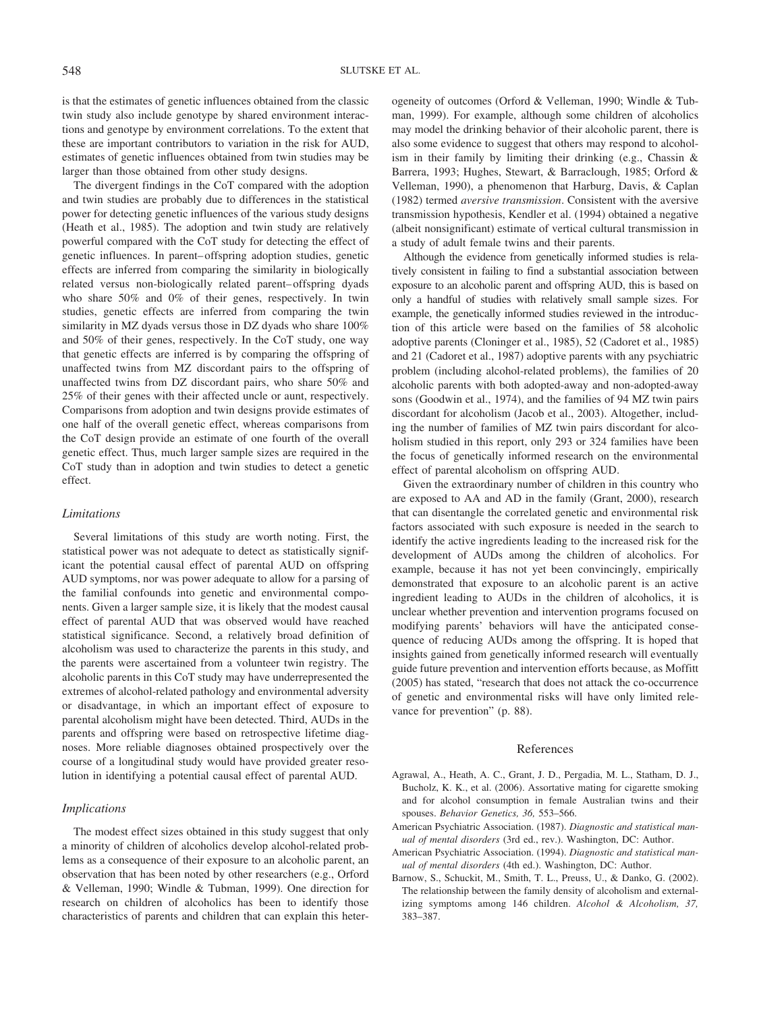is that the estimates of genetic influences obtained from the classic twin study also include genotype by shared environment interactions and genotype by environment correlations. To the extent that these are important contributors to variation in the risk for AUD, estimates of genetic influences obtained from twin studies may be larger than those obtained from other study designs.

The divergent findings in the CoT compared with the adoption and twin studies are probably due to differences in the statistical power for detecting genetic influences of the various study designs (Heath et al., 1985). The adoption and twin study are relatively powerful compared with the CoT study for detecting the effect of genetic influences. In parent–offspring adoption studies, genetic effects are inferred from comparing the similarity in biologically related versus non-biologically related parent–offspring dyads who share 50% and 0% of their genes, respectively. In twin studies, genetic effects are inferred from comparing the twin similarity in MZ dyads versus those in DZ dyads who share 100% and 50% of their genes, respectively. In the CoT study, one way that genetic effects are inferred is by comparing the offspring of unaffected twins from MZ discordant pairs to the offspring of unaffected twins from DZ discordant pairs, who share 50% and 25% of their genes with their affected uncle or aunt, respectively. Comparisons from adoption and twin designs provide estimates of one half of the overall genetic effect, whereas comparisons from the CoT design provide an estimate of one fourth of the overall genetic effect. Thus, much larger sample sizes are required in the CoT study than in adoption and twin studies to detect a genetic effect.

#### *Limitations*

Several limitations of this study are worth noting. First, the statistical power was not adequate to detect as statistically significant the potential causal effect of parental AUD on offspring AUD symptoms, nor was power adequate to allow for a parsing of the familial confounds into genetic and environmental components. Given a larger sample size, it is likely that the modest causal effect of parental AUD that was observed would have reached statistical significance. Second, a relatively broad definition of alcoholism was used to characterize the parents in this study, and the parents were ascertained from a volunteer twin registry. The alcoholic parents in this CoT study may have underrepresented the extremes of alcohol-related pathology and environmental adversity or disadvantage, in which an important effect of exposure to parental alcoholism might have been detected. Third, AUDs in the parents and offspring were based on retrospective lifetime diagnoses. More reliable diagnoses obtained prospectively over the course of a longitudinal study would have provided greater resolution in identifying a potential causal effect of parental AUD.

#### *Implications*

The modest effect sizes obtained in this study suggest that only a minority of children of alcoholics develop alcohol-related problems as a consequence of their exposure to an alcoholic parent, an observation that has been noted by other researchers (e.g., Orford & Velleman, 1990; Windle & Tubman, 1999). One direction for research on children of alcoholics has been to identify those characteristics of parents and children that can explain this heterogeneity of outcomes (Orford & Velleman, 1990; Windle & Tubman, 1999). For example, although some children of alcoholics may model the drinking behavior of their alcoholic parent, there is also some evidence to suggest that others may respond to alcoholism in their family by limiting their drinking (e.g., Chassin & Barrera, 1993; Hughes, Stewart, & Barraclough, 1985; Orford & Velleman, 1990), a phenomenon that Harburg, Davis, & Caplan (1982) termed *aversive transmission*. Consistent with the aversive transmission hypothesis, Kendler et al. (1994) obtained a negative (albeit nonsignificant) estimate of vertical cultural transmission in a study of adult female twins and their parents.

Although the evidence from genetically informed studies is relatively consistent in failing to find a substantial association between exposure to an alcoholic parent and offspring AUD, this is based on only a handful of studies with relatively small sample sizes. For example, the genetically informed studies reviewed in the introduction of this article were based on the families of 58 alcoholic adoptive parents (Cloninger et al., 1985), 52 (Cadoret et al., 1985) and 21 (Cadoret et al., 1987) adoptive parents with any psychiatric problem (including alcohol-related problems), the families of 20 alcoholic parents with both adopted-away and non-adopted-away sons (Goodwin et al., 1974), and the families of 94 MZ twin pairs discordant for alcoholism (Jacob et al., 2003). Altogether, including the number of families of MZ twin pairs discordant for alcoholism studied in this report, only 293 or 324 families have been the focus of genetically informed research on the environmental effect of parental alcoholism on offspring AUD.

Given the extraordinary number of children in this country who are exposed to AA and AD in the family (Grant, 2000), research that can disentangle the correlated genetic and environmental risk factors associated with such exposure is needed in the search to identify the active ingredients leading to the increased risk for the development of AUDs among the children of alcoholics. For example, because it has not yet been convincingly, empirically demonstrated that exposure to an alcoholic parent is an active ingredient leading to AUDs in the children of alcoholics, it is unclear whether prevention and intervention programs focused on modifying parents' behaviors will have the anticipated consequence of reducing AUDs among the offspring. It is hoped that insights gained from genetically informed research will eventually guide future prevention and intervention efforts because, as Moffitt (2005) has stated, "research that does not attack the co-occurrence of genetic and environmental risks will have only limited relevance for prevention" (p. 88).

#### References

- Agrawal, A., Heath, A. C., Grant, J. D., Pergadia, M. L., Statham, D. J., Bucholz, K. K., et al. (2006). Assortative mating for cigarette smoking and for alcohol consumption in female Australian twins and their spouses. *Behavior Genetics, 36,* 553–566.
- American Psychiatric Association. (1987). *Diagnostic and statistical manual of mental disorders* (3rd ed., rev.). Washington, DC: Author.
- American Psychiatric Association. (1994). *Diagnostic and statistical manual of mental disorders* (4th ed.). Washington, DC: Author.
- Barnow, S., Schuckit, M., Smith, T. L., Preuss, U., & Danko, G. (2002). The relationship between the family density of alcoholism and externalizing symptoms among 146 children. *Alcohol & Alcoholism, 37,* 383–387.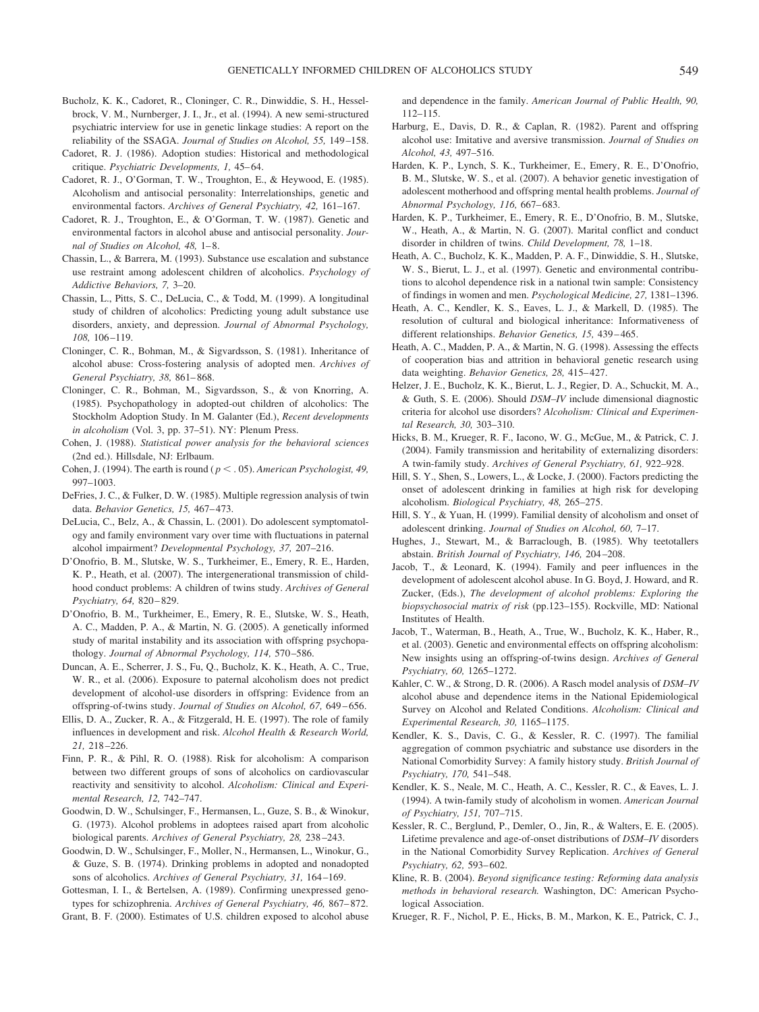- Bucholz, K. K., Cadoret, R., Cloninger, C. R., Dinwiddie, S. H., Hesselbrock, V. M., Nurnberger, J. I., Jr., et al. (1994). A new semi-structured psychiatric interview for use in genetic linkage studies: A report on the reliability of the SSAGA. *Journal of Studies on Alcohol, 55,* 149–158.
- Cadoret, R. J. (1986). Adoption studies: Historical and methodological critique. *Psychiatric Developments, 1,* 45–64.
- Cadoret, R. J., O'Gorman, T. W., Troughton, E., & Heywood, E. (1985). Alcoholism and antisocial personality: Interrelationships, genetic and environmental factors. *Archives of General Psychiatry, 42,* 161–167.
- Cadoret, R. J., Troughton, E., & O'Gorman, T. W. (1987). Genetic and environmental factors in alcohol abuse and antisocial personality. *Journal of Studies on Alcohol, 48,* 1–8.
- Chassin, L., & Barrera, M. (1993). Substance use escalation and substance use restraint among adolescent children of alcoholics. *Psychology of Addictive Behaviors, 7,* 3–20.
- Chassin, L., Pitts, S. C., DeLucia, C., & Todd, M. (1999). A longitudinal study of children of alcoholics: Predicting young adult substance use disorders, anxiety, and depression. *Journal of Abnormal Psychology, 108,* 106–119.
- Cloninger, C. R., Bohman, M., & Sigvardsson, S. (1981). Inheritance of alcohol abuse: Cross-fostering analysis of adopted men. *Archives of General Psychiatry, 38,* 861–868.
- Cloninger, C. R., Bohman, M., Sigvardsson, S., & von Knorring, A. (1985). Psychopathology in adopted-out children of alcoholics: The Stockholm Adoption Study. In M. Galanter (Ed.), *Recent developments in alcoholism* (Vol. 3, pp. 37–51). NY: Plenum Press.
- Cohen, J. (1988). *Statistical power analysis for the behavioral sciences* (2nd ed.). Hillsdale, NJ: Erlbaum.
- Cohen, J. (1994). The earth is round ( $p < .05$ ). *American Psychologist, 49,* 997–1003.
- DeFries, J. C., & Fulker, D. W. (1985). Multiple regression analysis of twin data. *Behavior Genetics, 15,* 467–473.
- DeLucia, C., Belz, A., & Chassin, L. (2001). Do adolescent symptomatology and family environment vary over time with fluctuations in paternal alcohol impairment? *Developmental Psychology, 37,* 207–216.
- D'Onofrio, B. M., Slutske, W. S., Turkheimer, E., Emery, R. E., Harden, K. P., Heath, et al. (2007). The intergenerational transmission of childhood conduct problems: A children of twins study. *Archives of General Psychiatry, 64,* 820–829.
- D'Onofrio, B. M., Turkheimer, E., Emery, R. E., Slutske, W. S., Heath, A. C., Madden, P. A., & Martin, N. G. (2005). A genetically informed study of marital instability and its association with offspring psychopathology. *Journal of Abnormal Psychology, 114,* 570–586.
- Duncan, A. E., Scherrer, J. S., Fu, Q., Bucholz, K. K., Heath, A. C., True, W. R., et al. (2006). Exposure to paternal alcoholism does not predict development of alcohol-use disorders in offspring: Evidence from an offspring-of-twins study. *Journal of Studies on Alcohol, 67,* 649–656.
- Ellis, D. A., Zucker, R. A., & Fitzgerald, H. E. (1997). The role of family influences in development and risk. *Alcohol Health & Research World, 21,* 218–226.
- Finn, P. R., & Pihl, R. O. (1988). Risk for alcoholism: A comparison between two different groups of sons of alcoholics on cardiovascular reactivity and sensitivity to alcohol. *Alcoholism: Clinical and Experimental Research, 12,* 742–747.
- Goodwin, D. W., Schulsinger, F., Hermansen, L., Guze, S. B., & Winokur, G. (1973). Alcohol problems in adoptees raised apart from alcoholic biological parents. *Archives of General Psychiatry, 28,* 238–243.
- Goodwin, D. W., Schulsinger, F., Moller, N., Hermansen, L., Winokur, G., & Guze, S. B. (1974). Drinking problems in adopted and nonadopted sons of alcoholics. *Archives of General Psychiatry, 31,* 164–169.

Gottesman, I. I., & Bertelsen, A. (1989). Confirming unexpressed genotypes for schizophrenia. *Archives of General Psychiatry, 46,* 867–872.

Grant, B. F. (2000). Estimates of U.S. children exposed to alcohol abuse

and dependence in the family. *American Journal of Public Health, 90,* 112–115.

- Harburg, E., Davis, D. R., & Caplan, R. (1982). Parent and offspring alcohol use: Imitative and aversive transmission. *Journal of Studies on Alcohol, 43,* 497–516.
- Harden, K. P., Lynch, S. K., Turkheimer, E., Emery, R. E., D'Onofrio, B. M., Slutske, W. S., et al. (2007). A behavior genetic investigation of adolescent motherhood and offspring mental health problems. *Journal of Abnormal Psychology, 116,* 667–683.
- Harden, K. P., Turkheimer, E., Emery, R. E., D'Onofrio, B. M., Slutske, W., Heath, A., & Martin, N. G. (2007). Marital conflict and conduct disorder in children of twins. *Child Development, 78,* 1–18.
- Heath, A. C., Bucholz, K. K., Madden, P. A. F., Dinwiddie, S. H., Slutske, W. S., Bierut, L. J., et al. (1997). Genetic and environmental contributions to alcohol dependence risk in a national twin sample: Consistency of findings in women and men. *Psychological Medicine, 27,* 1381–1396.
- Heath, A. C., Kendler, K. S., Eaves, L. J., & Markell, D. (1985). The resolution of cultural and biological inheritance: Informativeness of different relationships. *Behavior Genetics, 15,* 439–465.
- Heath, A. C., Madden, P. A., & Martin, N. G. (1998). Assessing the effects of cooperation bias and attrition in behavioral genetic research using data weighting. *Behavior Genetics, 28,* 415–427.
- Helzer, J. E., Bucholz, K. K., Bierut, L. J., Regier, D. A., Schuckit, M. A., & Guth, S. E. (2006). Should *DSM–IV* include dimensional diagnostic criteria for alcohol use disorders? *Alcoholism: Clinical and Experimental Research, 30,* 303–310.
- Hicks, B. M., Krueger, R. F., Iacono, W. G., McGue, M., & Patrick, C. J. (2004). Family transmission and heritability of externalizing disorders: A twin-family study. *Archives of General Psychiatry, 61,* 922–928.
- Hill, S. Y., Shen, S., Lowers, L., & Locke, J. (2000). Factors predicting the onset of adolescent drinking in families at high risk for developing alcoholism. *Biological Psychiatry, 48,* 265–275.
- Hill, S. Y., & Yuan, H. (1999). Familial density of alcoholism and onset of adolescent drinking. *Journal of Studies on Alcohol, 60,* 7–17.
- Hughes, J., Stewart, M., & Barraclough, B. (1985). Why teetotallers abstain. *British Journal of Psychiatry, 146,* 204–208.
- Jacob, T., & Leonard, K. (1994). Family and peer influences in the development of adolescent alcohol abuse. In G. Boyd, J. Howard, and R. Zucker, (Eds.), *The development of alcohol problems: Exploring the biopsychosocial matrix of risk* (pp.123–155). Rockville, MD: National Institutes of Health.
- Jacob, T., Waterman, B., Heath, A., True, W., Bucholz, K. K., Haber, R., et al. (2003). Genetic and environmental effects on offspring alcoholism: New insights using an offspring-of-twins design. *Archives of General Psychiatry, 60,* 1265–1272.
- Kahler, C. W., & Strong, D. R. (2006). A Rasch model analysis of *DSM–IV* alcohol abuse and dependence items in the National Epidemiological Survey on Alcohol and Related Conditions. *Alcoholism: Clinical and Experimental Research, 30,* 1165–1175.
- Kendler, K. S., Davis, C. G., & Kessler, R. C. (1997). The familial aggregation of common psychiatric and substance use disorders in the National Comorbidity Survey: A family history study. *British Journal of Psychiatry, 170,* 541–548.
- Kendler, K. S., Neale, M. C., Heath, A. C., Kessler, R. C., & Eaves, L. J. (1994). A twin-family study of alcoholism in women. *American Journal of Psychiatry, 151,* 707–715.
- Kessler, R. C., Berglund, P., Demler, O., Jin, R., & Walters, E. E. (2005). Lifetime prevalence and age-of-onset distributions of *DSM–IV* disorders in the National Comorbidity Survey Replication. *Archives of General Psychiatry, 62,* 593–602.
- Kline, R. B. (2004). *Beyond significance testing: Reforming data analysis methods in behavioral research.* Washington, DC: American Psychological Association.
- Krueger, R. F., Nichol, P. E., Hicks, B. M., Markon, K. E., Patrick, C. J.,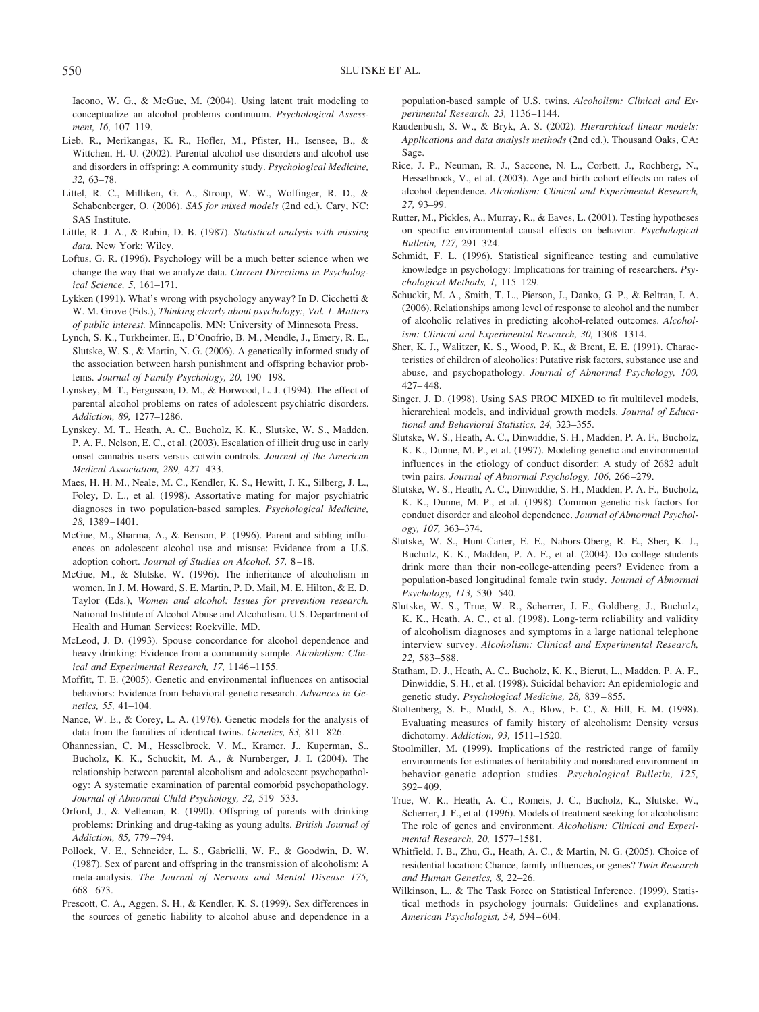Iacono, W. G., & McGue, M. (2004). Using latent trait modeling to conceptualize an alcohol problems continuum. *Psychological Assessment, 16,* 107–119.

- Lieb, R., Merikangas, K. R., Hofler, M., Pfister, H., Isensee, B., & Wittchen, H.-U. (2002). Parental alcohol use disorders and alcohol use and disorders in offspring: A community study. *Psychological Medicine, 32,* 63–78.
- Littel, R. C., Milliken, G. A., Stroup, W. W., Wolfinger, R. D., & Schabenberger, O. (2006). *SAS for mixed models* (2nd ed.). Cary, NC: SAS Institute.
- Little, R. J. A., & Rubin, D. B. (1987). *Statistical analysis with missing data.* New York: Wiley.
- Loftus, G. R. (1996). Psychology will be a much better science when we change the way that we analyze data. *Current Directions in Psychological Science, 5,* 161–171.
- Lykken (1991). What's wrong with psychology anyway? In D. Cicchetti & W. M. Grove (Eds.), *Thinking clearly about psychology:, Vol. 1. Matters of public interest.* Minneapolis, MN: University of Minnesota Press.
- Lynch, S. K., Turkheimer, E., D'Onofrio, B. M., Mendle, J., Emery, R. E., Slutske, W. S., & Martin, N. G. (2006). A genetically informed study of the association between harsh punishment and offspring behavior problems. *Journal of Family Psychology, 20,* 190–198.
- Lynskey, M. T., Fergusson, D. M., & Horwood, L. J. (1994). The effect of parental alcohol problems on rates of adolescent psychiatric disorders. *Addiction, 89,* 1277–1286.
- Lynskey, M. T., Heath, A. C., Bucholz, K. K., Slutske, W. S., Madden, P. A. F., Nelson, E. C., et al. (2003). Escalation of illicit drug use in early onset cannabis users versus cotwin controls. *Journal of the American Medical Association, 289,* 427–433.
- Maes, H. H. M., Neale, M. C., Kendler, K. S., Hewitt, J. K., Silberg, J. L., Foley, D. L., et al. (1998). Assortative mating for major psychiatric diagnoses in two population-based samples. *Psychological Medicine, 28,* 1389–1401.
- McGue, M., Sharma, A., & Benson, P. (1996). Parent and sibling influences on adolescent alcohol use and misuse: Evidence from a U.S. adoption cohort. *Journal of Studies on Alcohol, 57,* 8–18.
- McGue, M., & Slutske, W. (1996). The inheritance of alcoholism in women. In J. M. Howard, S. E. Martin, P. D. Mail, M. E. Hilton, & E. D. Taylor (Eds.), *Women and alcohol: Issues for prevention research.* National Institute of Alcohol Abuse and Alcoholism. U.S. Department of Health and Human Services: Rockville, MD.
- McLeod, J. D. (1993). Spouse concordance for alcohol dependence and heavy drinking: Evidence from a community sample. *Alcoholism: Clinical and Experimental Research, 17,* 1146–1155.
- Moffitt, T. E. (2005). Genetic and environmental influences on antisocial behaviors: Evidence from behavioral-genetic research. *Advances in Genetics, 55,* 41–104.
- Nance, W. E., & Corey, L. A. (1976). Genetic models for the analysis of data from the families of identical twins. *Genetics, 83,* 811–826.
- Ohannessian, C. M., Hesselbrock, V. M., Kramer, J., Kuperman, S., Bucholz, K. K., Schuckit, M. A., & Nurnberger, J. I. (2004). The relationship between parental alcoholism and adolescent psychopathology: A systematic examination of parental comorbid psychopathology. *Journal of Abnormal Child Psychology, 32,* 519–533.
- Orford, J., & Velleman, R. (1990). Offspring of parents with drinking problems: Drinking and drug-taking as young adults. *British Journal of Addiction, 85,* 779–794.
- Pollock, V. E., Schneider, L. S., Gabrielli, W. F., & Goodwin, D. W. (1987). Sex of parent and offspring in the transmission of alcoholism: A meta-analysis. *The Journal of Nervous and Mental Disease 175,* 668–673.
- Prescott, C. A., Aggen, S. H., & Kendler, K. S. (1999). Sex differences in the sources of genetic liability to alcohol abuse and dependence in a

population-based sample of U.S. twins. *Alcoholism: Clinical and Experimental Research, 23,* 1136–1144.

- Raudenbush, S. W., & Bryk, A. S. (2002). *Hierarchical linear models: Applications and data analysis methods* (2nd ed.). Thousand Oaks, CA: Sage.
- Rice, J. P., Neuman, R. J., Saccone, N. L., Corbett, J., Rochberg, N., Hesselbrock, V., et al. (2003). Age and birth cohort effects on rates of alcohol dependence. *Alcoholism: Clinical and Experimental Research, 27,* 93–99.
- Rutter, M., Pickles, A., Murray, R., & Eaves, L. (2001). Testing hypotheses on specific environmental causal effects on behavior. *Psychological Bulletin, 127,* 291–324.
- Schmidt, F. L. (1996). Statistical significance testing and cumulative knowledge in psychology: Implications for training of researchers. *Psychological Methods, 1,* 115–129.
- Schuckit, M. A., Smith, T. L., Pierson, J., Danko, G. P., & Beltran, I. A. (2006). Relationships among level of response to alcohol and the number of alcoholic relatives in predicting alcohol-related outcomes. *Alcoholism: Clinical and Experimental Research, 30,* 1308–1314.
- Sher, K. J., Walitzer, K. S., Wood, P. K., & Brent, E. E. (1991). Characteristics of children of alcoholics: Putative risk factors, substance use and abuse, and psychopathology. *Journal of Abnormal Psychology, 100,* 427–448.
- Singer, J. D. (1998). Using SAS PROC MIXED to fit multilevel models, hierarchical models, and individual growth models. *Journal of Educational and Behavioral Statistics, 24,* 323–355.
- Slutske, W. S., Heath, A. C., Dinwiddie, S. H., Madden, P. A. F., Bucholz, K. K., Dunne, M. P., et al. (1997). Modeling genetic and environmental influences in the etiology of conduct disorder: A study of 2682 adult twin pairs. *Journal of Abnormal Psychology, 106,* 266–279.
- Slutske, W. S., Heath, A. C., Dinwiddie, S. H., Madden, P. A. F., Bucholz, K. K., Dunne, M. P., et al. (1998). Common genetic risk factors for conduct disorder and alcohol dependence. *Journal of Abnormal Psychology, 107,* 363–374.
- Slutske, W. S., Hunt-Carter, E. E., Nabors-Oberg, R. E., Sher, K. J., Bucholz, K. K., Madden, P. A. F., et al. (2004). Do college students drink more than their non-college-attending peers? Evidence from a population-based longitudinal female twin study. *Journal of Abnormal Psychology, 113,* 530–540.
- Slutske, W. S., True, W. R., Scherrer, J. F., Goldberg, J., Bucholz, K. K., Heath, A. C., et al. (1998). Long-term reliability and validity of alcoholism diagnoses and symptoms in a large national telephone interview survey. *Alcoholism: Clinical and Experimental Research, 22,* 583–588.
- Statham, D. J., Heath, A. C., Bucholz, K. K., Bierut, L., Madden, P. A. F., Dinwiddie, S. H., et al. (1998). Suicidal behavior: An epidemiologic and genetic study. *Psychological Medicine, 28,* 839–855.
- Stoltenberg, S. F., Mudd, S. A., Blow, F. C., & Hill, E. M. (1998). Evaluating measures of family history of alcoholism: Density versus dichotomy. *Addiction, 93,* 1511–1520.
- Stoolmiller, M. (1999). Implications of the restricted range of family environments for estimates of heritability and nonshared environment in behavior-genetic adoption studies. *Psychological Bulletin, 125,* 392–409.
- True, W. R., Heath, A. C., Romeis, J. C., Bucholz, K., Slutske, W., Scherrer, J. F., et al. (1996). Models of treatment seeking for alcoholism: The role of genes and environment. *Alcoholism: Clinical and Experimental Research, 20,* 1577–1581.
- Whitfield, J. B., Zhu, G., Heath, A. C., & Martin, N. G. (2005). Choice of residential location: Chance, family influences, or genes? *Twin Research and Human Genetics, 8,* 22–26.
- Wilkinson, L., & The Task Force on Statistical Inference. (1999). Statistical methods in psychology journals: Guidelines and explanations. *American Psychologist, 54,* 594–604.